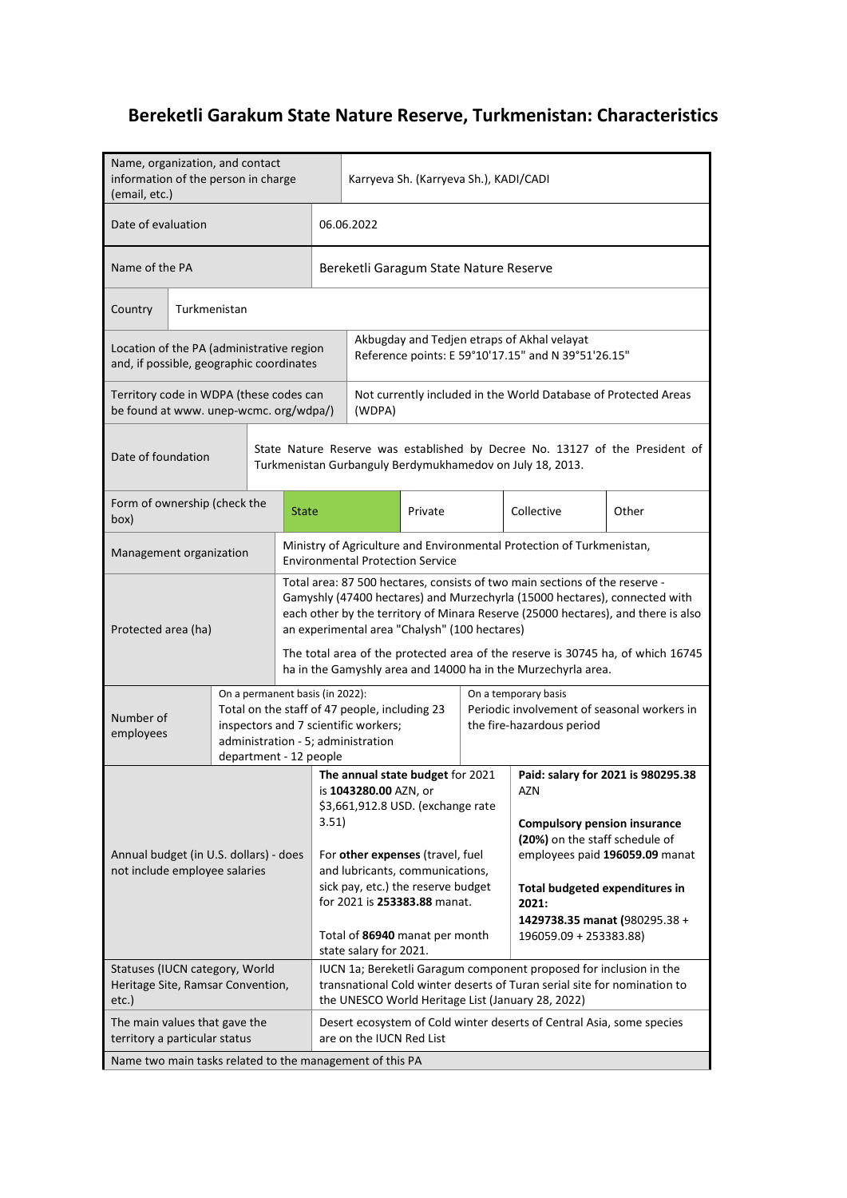## **Bereketli Garakum State Nature Reserve, Turkmenistan: Characteristics**

| Name, organization, and contact<br>information of the person in charge<br>(email, etc.) |                                                                                                                                           |       |                                                           |                                                                                                                                                                                                                                                                                                                                                                                    | Karryeva Sh. (Karryeva Sh.), KADI/CADI |                                                                                                                                                                                    |                                                                                                                                                                                                     |       |
|-----------------------------------------------------------------------------------------|-------------------------------------------------------------------------------------------------------------------------------------------|-------|-----------------------------------------------------------|------------------------------------------------------------------------------------------------------------------------------------------------------------------------------------------------------------------------------------------------------------------------------------------------------------------------------------------------------------------------------------|----------------------------------------|------------------------------------------------------------------------------------------------------------------------------------------------------------------------------------|-----------------------------------------------------------------------------------------------------------------------------------------------------------------------------------------------------|-------|
| Date of evaluation                                                                      |                                                                                                                                           |       |                                                           | 06.06.2022                                                                                                                                                                                                                                                                                                                                                                         |                                        |                                                                                                                                                                                    |                                                                                                                                                                                                     |       |
| Name of the PA                                                                          |                                                                                                                                           |       |                                                           | Bereketli Garagum State Nature Reserve                                                                                                                                                                                                                                                                                                                                             |                                        |                                                                                                                                                                                    |                                                                                                                                                                                                     |       |
| Country                                                                                 | Turkmenistan                                                                                                                              |       |                                                           |                                                                                                                                                                                                                                                                                                                                                                                    |                                        |                                                                                                                                                                                    |                                                                                                                                                                                                     |       |
| Location of the PA (administrative region<br>and, if possible, geographic coordinates   |                                                                                                                                           |       |                                                           |                                                                                                                                                                                                                                                                                                                                                                                    |                                        | Akbugday and Tedjen etraps of Akhal velayat<br>Reference points: E 59°10'17.15" and N 39°51'26.15"                                                                                 |                                                                                                                                                                                                     |       |
| Territory code in WDPA (these codes can<br>be found at www. unep-wcmc. org/wdpa/)       |                                                                                                                                           |       |                                                           | (WDPA)                                                                                                                                                                                                                                                                                                                                                                             |                                        |                                                                                                                                                                                    | Not currently included in the World Database of Protected Areas                                                                                                                                     |       |
| Date of foundation                                                                      | State Nature Reserve was established by Decree No. 13127 of the President of<br>Turkmenistan Gurbanguly Berdymukhamedov on July 18, 2013. |       |                                                           |                                                                                                                                                                                                                                                                                                                                                                                    |                                        |                                                                                                                                                                                    |                                                                                                                                                                                                     |       |
| Form of ownership (check the<br>(box                                                    |                                                                                                                                           |       | <b>State</b>                                              |                                                                                                                                                                                                                                                                                                                                                                                    | Private                                |                                                                                                                                                                                    | Collective                                                                                                                                                                                          | Other |
| Management organization                                                                 |                                                                                                                                           |       |                                                           | <b>Environmental Protection Service</b>                                                                                                                                                                                                                                                                                                                                            |                                        |                                                                                                                                                                                    | Ministry of Agriculture and Environmental Protection of Turkmenistan,                                                                                                                               |       |
| Protected area (ha)                                                                     |                                                                                                                                           |       |                                                           | Total area: 87 500 hectares, consists of two main sections of the reserve -<br>Gamyshly (47400 hectares) and Murzechyrla (15000 hectares), connected with<br>each other by the territory of Minara Reserve (25000 hectares), and there is also<br>an experimental area "Chalysh" (100 hectares)<br>The total area of the protected area of the reserve is 30745 ha, of which 16745 |                                        |                                                                                                                                                                                    |                                                                                                                                                                                                     |       |
|                                                                                         |                                                                                                                                           |       |                                                           |                                                                                                                                                                                                                                                                                                                                                                                    |                                        |                                                                                                                                                                                    | ha in the Gamyshly area and 14000 ha in the Murzechyrla area.                                                                                                                                       |       |
| Number of<br>employees                                                                  |                                                                                                                                           |       | On a permanent basis (in 2022):<br>department - 12 people | Total on the staff of 47 people, including 23<br>inspectors and 7 scientific workers;<br>administration - 5; administration                                                                                                                                                                                                                                                        |                                        | On a temporary basis<br>Periodic involvement of seasonal workers in<br>the fire-hazardous period                                                                                   |                                                                                                                                                                                                     |       |
| Annual budget (in U.S. dollars) - does<br>not include employee salaries                 |                                                                                                                                           | 3.51) | state salary for 2021.                                    | The annual state budget for 2021<br>is 1043280.00 AZN, or<br>\$3,661,912.8 USD. (exchange rate<br>For other expenses (travel, fuel<br>and lubricants, communications,<br>sick pay, etc.) the reserve budget<br>for 2021 is 253383.88 manat.<br>Total of 86940 manat per month                                                                                                      |                                        | AZN<br><b>Compulsory pension insurance</b><br>(20%) on the staff schedule of<br>Total budgeted expenditures in<br>2021:<br>1429738.35 manat (980295.38 +<br>196059.09 + 253383.88) | Paid: salary for 2021 is 980295.38<br>employees paid 196059.09 manat                                                                                                                                |       |
| Statuses (IUCN category, World<br>Heritage Site, Ramsar Convention,<br>etc.)            |                                                                                                                                           |       |                                                           |                                                                                                                                                                                                                                                                                                                                                                                    |                                        |                                                                                                                                                                                    | IUCN 1a; Bereketli Garagum component proposed for inclusion in the<br>transnational Cold winter deserts of Turan serial site for nomination to<br>the UNESCO World Heritage List (January 28, 2022) |       |
| The main values that gave the<br>territory a particular status                          |                                                                                                                                           |       |                                                           | are on the IUCN Red List                                                                                                                                                                                                                                                                                                                                                           |                                        |                                                                                                                                                                                    | Desert ecosystem of Cold winter deserts of Central Asia, some species                                                                                                                               |       |
| Name two main tasks related to the management of this PA                                |                                                                                                                                           |       |                                                           |                                                                                                                                                                                                                                                                                                                                                                                    |                                        |                                                                                                                                                                                    |                                                                                                                                                                                                     |       |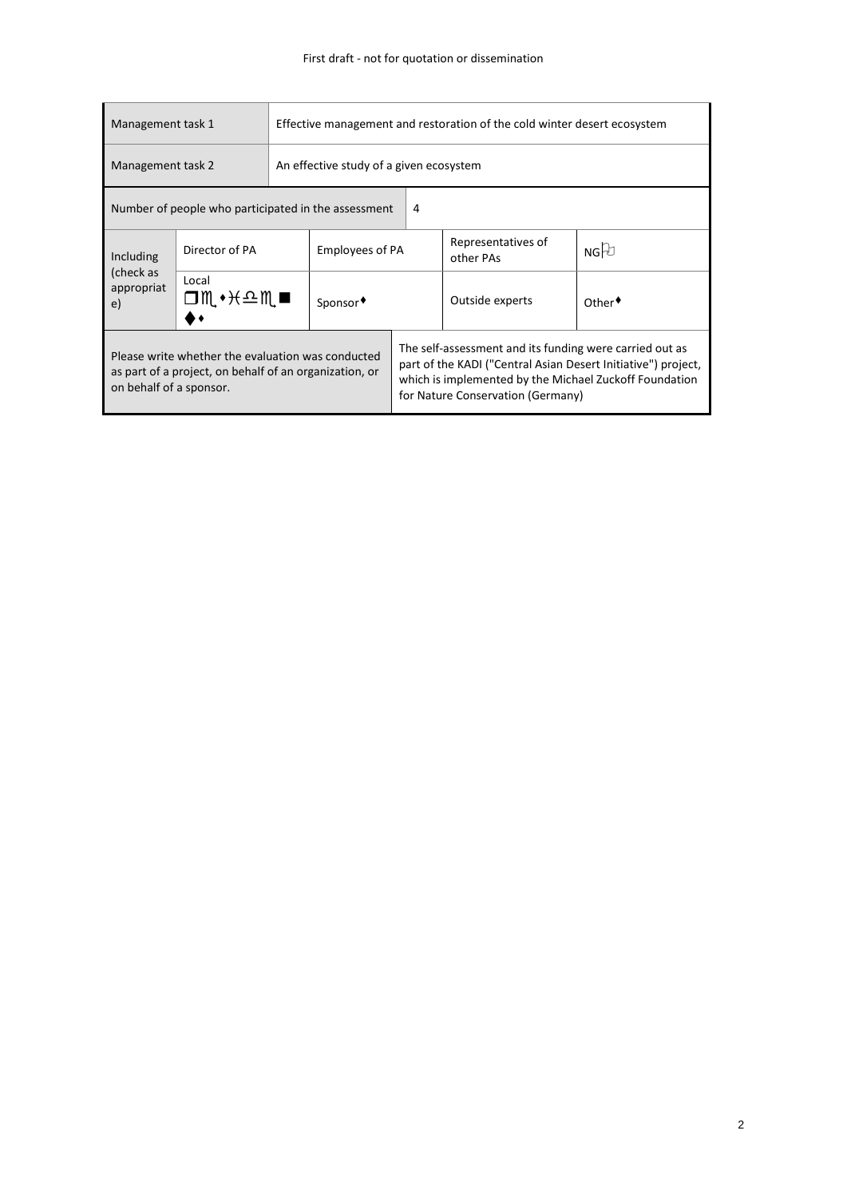| Management task 1                                                                                                                      |                                                     | Effective management and restoration of the cold winter desert ecosystem |                        |                                                                                                                                                                                                                         |                                                            |     |  |  |
|----------------------------------------------------------------------------------------------------------------------------------------|-----------------------------------------------------|--------------------------------------------------------------------------|------------------------|-------------------------------------------------------------------------------------------------------------------------------------------------------------------------------------------------------------------------|------------------------------------------------------------|-----|--|--|
| Management task 2                                                                                                                      |                                                     | An effective study of a given ecosystem                                  |                        |                                                                                                                                                                                                                         |                                                            |     |  |  |
|                                                                                                                                        | Number of people who participated in the assessment |                                                                          |                        | 4                                                                                                                                                                                                                       |                                                            |     |  |  |
| Including                                                                                                                              | Director of PA                                      |                                                                          | <b>Employees of PA</b> |                                                                                                                                                                                                                         | Representatives of<br>other PAs                            | NGD |  |  |
| (check as<br>appropriat<br>e)                                                                                                          | Local<br>◘∭◆⊬≏Ң■                                    |                                                                          | Sponsor◆               |                                                                                                                                                                                                                         | Outside experts<br>$Other$ <sup><math>\bullet</math></sup> |     |  |  |
| Please write whether the evaluation was conducted<br>as part of a project, on behalf of an organization, or<br>on behalf of a sponsor. |                                                     |                                                                          |                        | The self-assessment and its funding were carried out as<br>part of the KADI ("Central Asian Desert Initiative") project,<br>which is implemented by the Michael Zuckoff Foundation<br>for Nature Conservation (Germany) |                                                            |     |  |  |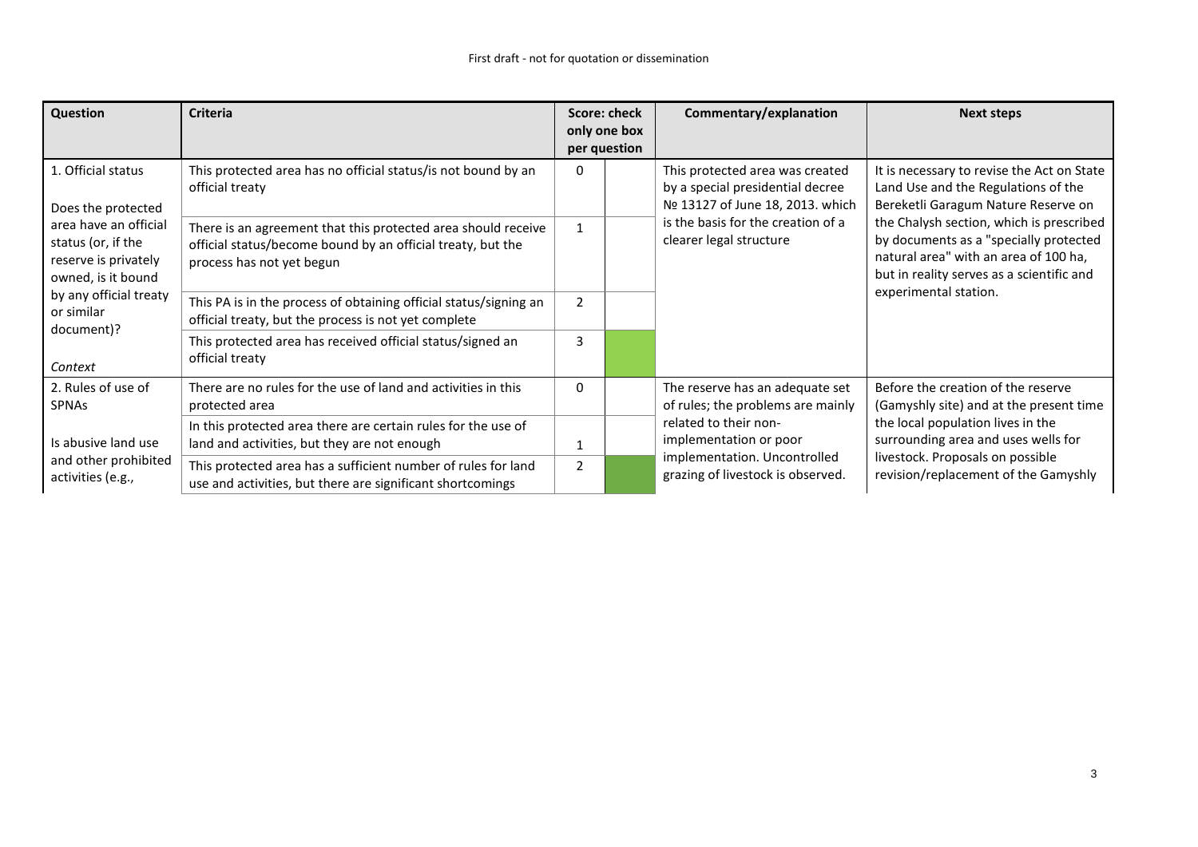| Question                                                                                                                                                                                                                                                                                                                                                                               | <b>Criteria</b>                                                                                                             | Score: check<br>only one box<br>per question                  | Commentary/explanation                                                                                                                                                   | <b>Next steps</b>                                                                                                        |  |
|----------------------------------------------------------------------------------------------------------------------------------------------------------------------------------------------------------------------------------------------------------------------------------------------------------------------------------------------------------------------------------------|-----------------------------------------------------------------------------------------------------------------------------|---------------------------------------------------------------|--------------------------------------------------------------------------------------------------------------------------------------------------------------------------|--------------------------------------------------------------------------------------------------------------------------|--|
| 1. Official status<br>This protected area has no official status/is not bound by an<br>official treaty<br>Does the protected<br>area have an official<br>There is an agreement that this protected area should receive<br>status (or, if the<br>official status/become bound by an official treaty, but the<br>reserve is privately<br>process has not yet begun<br>owned, is it bound |                                                                                                                             |                                                               | This protected area was created<br>by a special presidential decree<br>Nº 13127 of June 18, 2013. which                                                                  | It is necessary to revise the Act on State<br>Land Use and the Regulations of the<br>Bereketli Garagum Nature Reserve on |  |
|                                                                                                                                                                                                                                                                                                                                                                                        | $\mathbf{1}$                                                                                                                | is the basis for the creation of a<br>clearer legal structure | the Chalysh section, which is prescribed<br>by documents as a "specially protected<br>natural area" with an area of 100 ha,<br>but in reality serves as a scientific and |                                                                                                                          |  |
| by any official treaty<br>or similar<br>document)?                                                                                                                                                                                                                                                                                                                                     | This PA is in the process of obtaining official status/signing an<br>official treaty, but the process is not yet complete   | $\overline{2}$                                                |                                                                                                                                                                          | experimental station.                                                                                                    |  |
| Context                                                                                                                                                                                                                                                                                                                                                                                | This protected area has received official status/signed an<br>official treaty                                               | 3                                                             |                                                                                                                                                                          |                                                                                                                          |  |
| 2. Rules of use of<br><b>SPNAs</b>                                                                                                                                                                                                                                                                                                                                                     | There are no rules for the use of land and activities in this<br>protected area                                             | $\Omega$                                                      | The reserve has an adequate set<br>of rules; the problems are mainly                                                                                                     | Before the creation of the reserve<br>(Gamyshly site) and at the present time                                            |  |
| Is abusive land use                                                                                                                                                                                                                                                                                                                                                                    | In this protected area there are certain rules for the use of<br>land and activities, but they are not enough               |                                                               | related to their non-<br>implementation or poor                                                                                                                          | the local population lives in the<br>surrounding area and uses wells for                                                 |  |
| and other prohibited<br>activities (e.g.,                                                                                                                                                                                                                                                                                                                                              | This protected area has a sufficient number of rules for land<br>use and activities, but there are significant shortcomings |                                                               | implementation. Uncontrolled<br>grazing of livestock is observed.                                                                                                        | livestock. Proposals on possible<br>revision/replacement of the Gamyshly                                                 |  |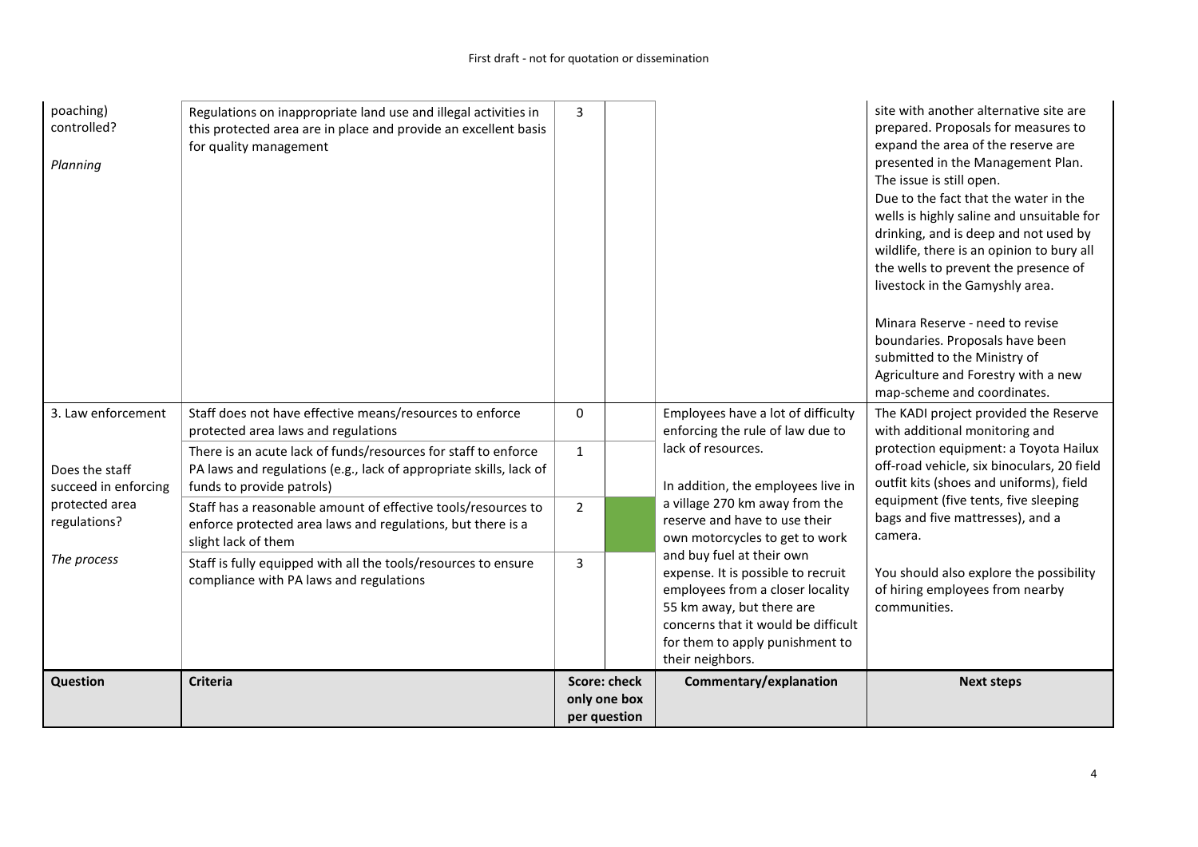| poaching)<br>controlled?<br>Planning   | Regulations on inappropriate land use and illegal activities in<br>this protected area are in place and provide an excellent basis<br>for quality management      | 3                                                   |  |                                                                                                                                                                                                                                | site with another alternative site are<br>prepared. Proposals for measures to<br>expand the area of the reserve are<br>presented in the Management Plan.<br>The issue is still open.<br>Due to the fact that the water in the<br>wells is highly saline and unsuitable for<br>drinking, and is deep and not used by<br>wildlife, there is an opinion to bury all<br>the wells to prevent the presence of<br>livestock in the Gamyshly area.<br>Minara Reserve - need to revise<br>boundaries. Proposals have been<br>submitted to the Ministry of<br>Agriculture and Forestry with a new<br>map-scheme and coordinates. |
|----------------------------------------|-------------------------------------------------------------------------------------------------------------------------------------------------------------------|-----------------------------------------------------|--|--------------------------------------------------------------------------------------------------------------------------------------------------------------------------------------------------------------------------------|-------------------------------------------------------------------------------------------------------------------------------------------------------------------------------------------------------------------------------------------------------------------------------------------------------------------------------------------------------------------------------------------------------------------------------------------------------------------------------------------------------------------------------------------------------------------------------------------------------------------------|
| 3. Law enforcement                     | Staff does not have effective means/resources to enforce<br>protected area laws and regulations                                                                   | $\mathbf{0}$                                        |  | Employees have a lot of difficulty<br>enforcing the rule of law due to                                                                                                                                                         | The KADI project provided the Reserve<br>with additional monitoring and                                                                                                                                                                                                                                                                                                                                                                                                                                                                                                                                                 |
| Does the staff<br>succeed in enforcing | There is an acute lack of funds/resources for staff to enforce<br>PA laws and regulations (e.g., lack of appropriate skills, lack of<br>funds to provide patrols) | $\mathbf{1}$                                        |  | lack of resources.<br>In addition, the employees live in                                                                                                                                                                       | protection equipment: a Toyota Hailux<br>off-road vehicle, six binoculars, 20 field<br>outfit kits (shoes and uniforms), field                                                                                                                                                                                                                                                                                                                                                                                                                                                                                          |
| protected area<br>regulations?         | Staff has a reasonable amount of effective tools/resources to<br>enforce protected area laws and regulations, but there is a<br>slight lack of them               | $\overline{2}$                                      |  | a village 270 km away from the<br>reserve and have to use their<br>own motorcycles to get to work                                                                                                                              | equipment (five tents, five sleeping<br>bags and five mattresses), and a<br>camera.                                                                                                                                                                                                                                                                                                                                                                                                                                                                                                                                     |
| The process                            | Staff is fully equipped with all the tools/resources to ensure<br>compliance with PA laws and regulations                                                         | 3                                                   |  | and buy fuel at their own<br>expense. It is possible to recruit<br>employees from a closer locality<br>55 km away, but there are<br>concerns that it would be difficult<br>for them to apply punishment to<br>their neighbors. | You should also explore the possibility<br>of hiring employees from nearby<br>communities.                                                                                                                                                                                                                                                                                                                                                                                                                                                                                                                              |
| <b>Question</b>                        | <b>Criteria</b>                                                                                                                                                   | <b>Score: check</b><br>only one box<br>per question |  | Commentary/explanation                                                                                                                                                                                                         | <b>Next steps</b>                                                                                                                                                                                                                                                                                                                                                                                                                                                                                                                                                                                                       |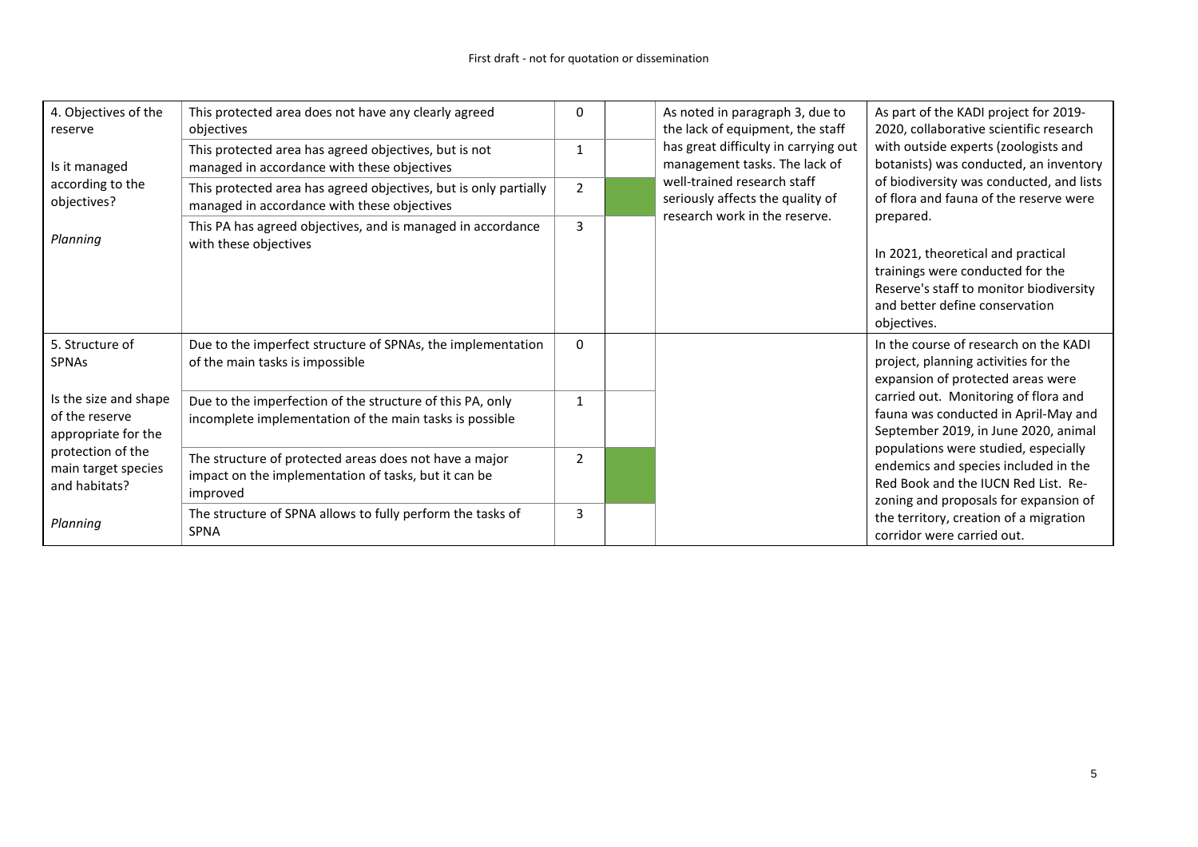| 4. Objectives of the<br>reserve                                | This protected area does not have any clearly agreed<br>objectives                                                         | 0              | As noted in paragraph 3, due to<br>the lack of equipment, the staff                                                                                                             | As part of the KADI project for 2019-<br>2020, collaborative scientific research                                                                             |  |  |  |
|----------------------------------------------------------------|----------------------------------------------------------------------------------------------------------------------------|----------------|---------------------------------------------------------------------------------------------------------------------------------------------------------------------------------|--------------------------------------------------------------------------------------------------------------------------------------------------------------|--|--|--|
| Is it managed                                                  | This protected area has agreed objectives, but is not<br>managed in accordance with these objectives                       |                | has great difficulty in carrying out<br>management tasks. The lack of                                                                                                           | with outside experts (zoologists and<br>botanists) was conducted, an inventory                                                                               |  |  |  |
| according to the<br>objectives?                                | This protected area has agreed objectives, but is only partially<br>managed in accordance with these objectives            | 2              | well-trained research staff<br>seriously affects the quality of<br>research work in the reserve.                                                                                | of biodiversity was conducted, and lists<br>of flora and fauna of the reserve were                                                                           |  |  |  |
| Planning                                                       | This PA has agreed objectives, and is managed in accordance<br>3<br>with these objectives                                  |                | prepared.<br>In 2021, theoretical and practical<br>trainings were conducted for the<br>Reserve's staff to monitor biodiversity<br>and better define conservation<br>objectives. |                                                                                                                                                              |  |  |  |
| 5. Structure of<br><b>SPNAs</b>                                | Due to the imperfect structure of SPNAs, the implementation<br>of the main tasks is impossible                             | $\Omega$       |                                                                                                                                                                                 | In the course of research on the KADI<br>project, planning activities for the<br>expansion of protected areas were                                           |  |  |  |
| Is the size and shape<br>of the reserve<br>appropriate for the | Due to the imperfection of the structure of this PA, only<br>incomplete implementation of the main tasks is possible       | $\mathbf 1$    |                                                                                                                                                                                 | carried out. Monitoring of flora and<br>fauna was conducted in April-May and<br>September 2019, in June 2020, animal                                         |  |  |  |
| protection of the<br>main target species<br>and habitats?      | The structure of protected areas does not have a major<br>impact on the implementation of tasks, but it can be<br>improved |                |                                                                                                                                                                                 | populations were studied, especially<br>endemics and species included in the<br>Red Book and the IUCN Red List. Re-<br>zoning and proposals for expansion of |  |  |  |
| Planning                                                       | The structure of SPNA allows to fully perform the tasks of<br><b>SPNA</b>                                                  | $\overline{3}$ |                                                                                                                                                                                 | the territory, creation of a migration<br>corridor were carried out.                                                                                         |  |  |  |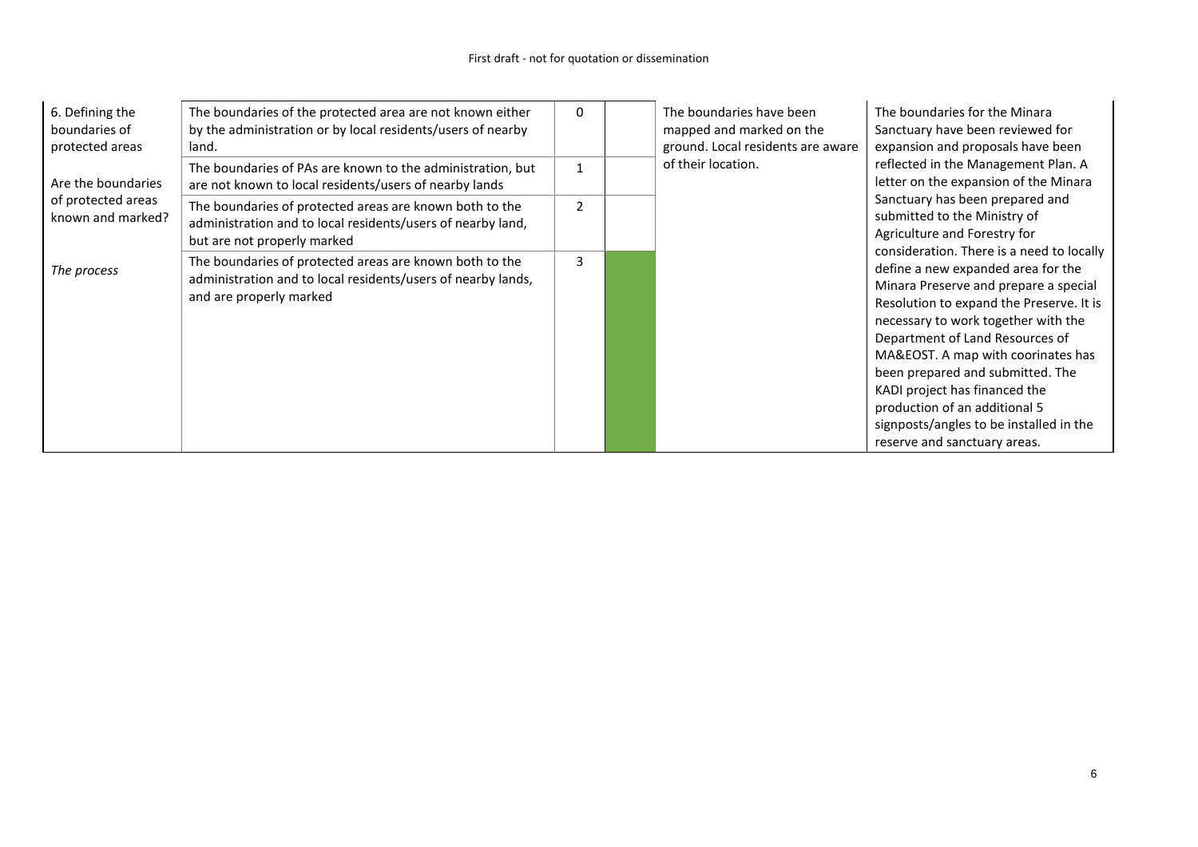| 6. Defining the<br>boundaries of<br>protected areas | The boundaries of the protected area are not known either<br>by the administration or by local residents/users of nearby<br>land.                          | $\Omega$ |                                                                              | The boundaries have been<br>mapped and marked on the<br>ground. Local residents are aware | The boundaries for the Minara<br>Sanctuary have been reviewed for<br>expansion and proposals have been                                                                                                                                                                                                                                                                                                                                                                |  |  |  |  |
|-----------------------------------------------------|------------------------------------------------------------------------------------------------------------------------------------------------------------|----------|------------------------------------------------------------------------------|-------------------------------------------------------------------------------------------|-----------------------------------------------------------------------------------------------------------------------------------------------------------------------------------------------------------------------------------------------------------------------------------------------------------------------------------------------------------------------------------------------------------------------------------------------------------------------|--|--|--|--|
| Are the boundaries                                  | of their location.<br>The boundaries of PAs are known to the administration, but<br>$\mathbf{1}$<br>are not known to local residents/users of nearby lands |          | reflected in the Management Plan. A<br>letter on the expansion of the Minara |                                                                                           |                                                                                                                                                                                                                                                                                                                                                                                                                                                                       |  |  |  |  |
| of protected areas<br>known and marked?             | The boundaries of protected areas are known both to the<br>administration and to local residents/users of nearby land,<br>but are not properly marked      |          |                                                                              |                                                                                           | Sanctuary has been prepared and<br>submitted to the Ministry of<br>Agriculture and Forestry for                                                                                                                                                                                                                                                                                                                                                                       |  |  |  |  |
| The process                                         | The boundaries of protected areas are known both to the<br>administration and to local residents/users of nearby lands,<br>and are properly marked         | 3        |                                                                              |                                                                                           | consideration. There is a need to locally<br>define a new expanded area for the<br>Minara Preserve and prepare a special<br>Resolution to expand the Preserve. It is<br>necessary to work together with the<br>Department of Land Resources of<br>MA&EOST. A map with coorinates has<br>been prepared and submitted. The<br>KADI project has financed the<br>production of an additional 5<br>signposts/angles to be installed in the<br>reserve and sanctuary areas. |  |  |  |  |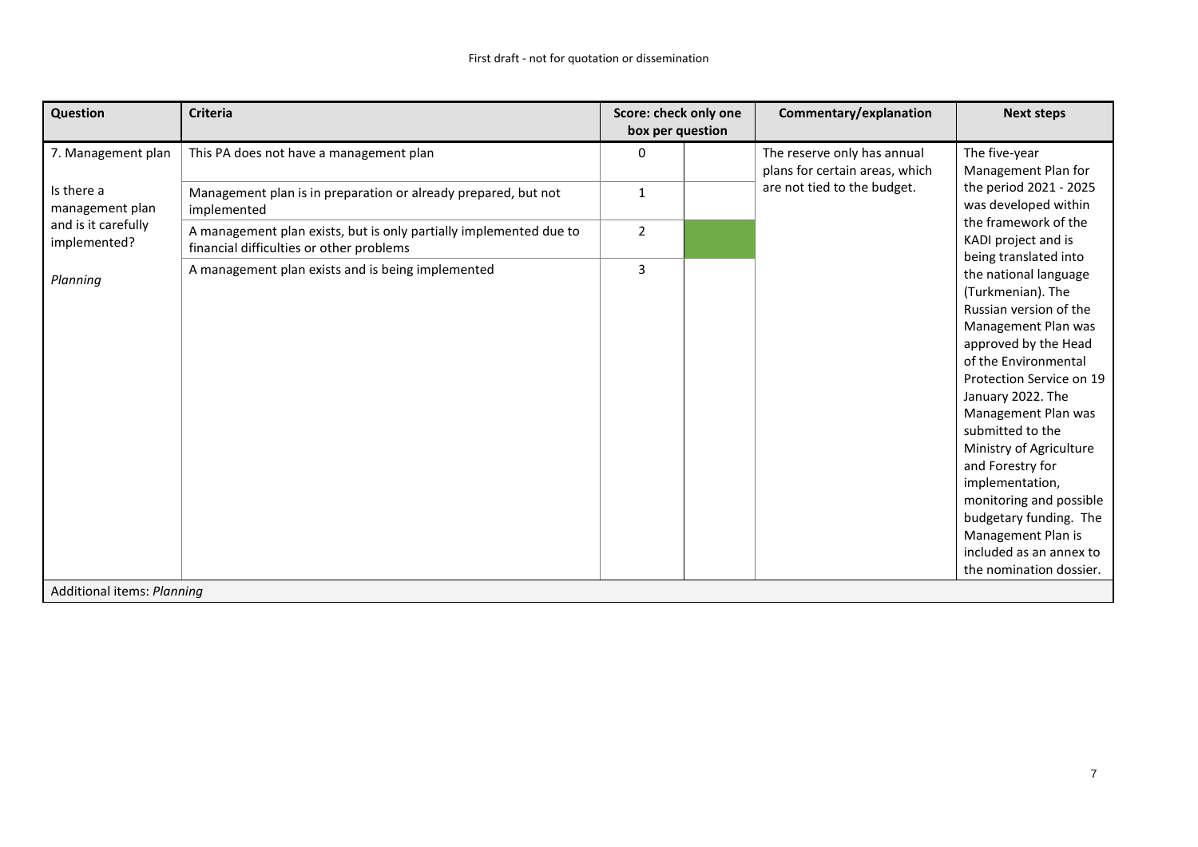| Question                            | <b>Criteria</b>                                                                                                | Score: check only one<br>box per question |  | Commentary/explanation                                        | <b>Next steps</b>                                                                                                                                                                                                                                                                                                                                                                                                                          |
|-------------------------------------|----------------------------------------------------------------------------------------------------------------|-------------------------------------------|--|---------------------------------------------------------------|--------------------------------------------------------------------------------------------------------------------------------------------------------------------------------------------------------------------------------------------------------------------------------------------------------------------------------------------------------------------------------------------------------------------------------------------|
| 7. Management plan                  | This PA does not have a management plan                                                                        | 0                                         |  | The reserve only has annual<br>plans for certain areas, which | The five-year<br>Management Plan for                                                                                                                                                                                                                                                                                                                                                                                                       |
| Is there a<br>management plan       | Management plan is in preparation or already prepared, but not<br>implemented                                  | $\mathbf{1}$                              |  | are not tied to the budget.                                   | the period 2021 - 2025<br>was developed within                                                                                                                                                                                                                                                                                                                                                                                             |
| and is it carefully<br>implemented? | A management plan exists, but is only partially implemented due to<br>financial difficulties or other problems | $\overline{2}$                            |  |                                                               | the framework of the<br>KADI project and is<br>being translated into                                                                                                                                                                                                                                                                                                                                                                       |
| Planning                            | A management plan exists and is being implemented                                                              | $\overline{3}$                            |  |                                                               | the national language<br>(Turkmenian). The<br>Russian version of the<br>Management Plan was<br>approved by the Head<br>of the Environmental<br>Protection Service on 19<br>January 2022. The<br>Management Plan was<br>submitted to the<br>Ministry of Agriculture<br>and Forestry for<br>implementation,<br>monitoring and possible<br>budgetary funding. The<br>Management Plan is<br>included as an annex to<br>the nomination dossier. |
| Additional items: Planning          |                                                                                                                |                                           |  |                                                               |                                                                                                                                                                                                                                                                                                                                                                                                                                            |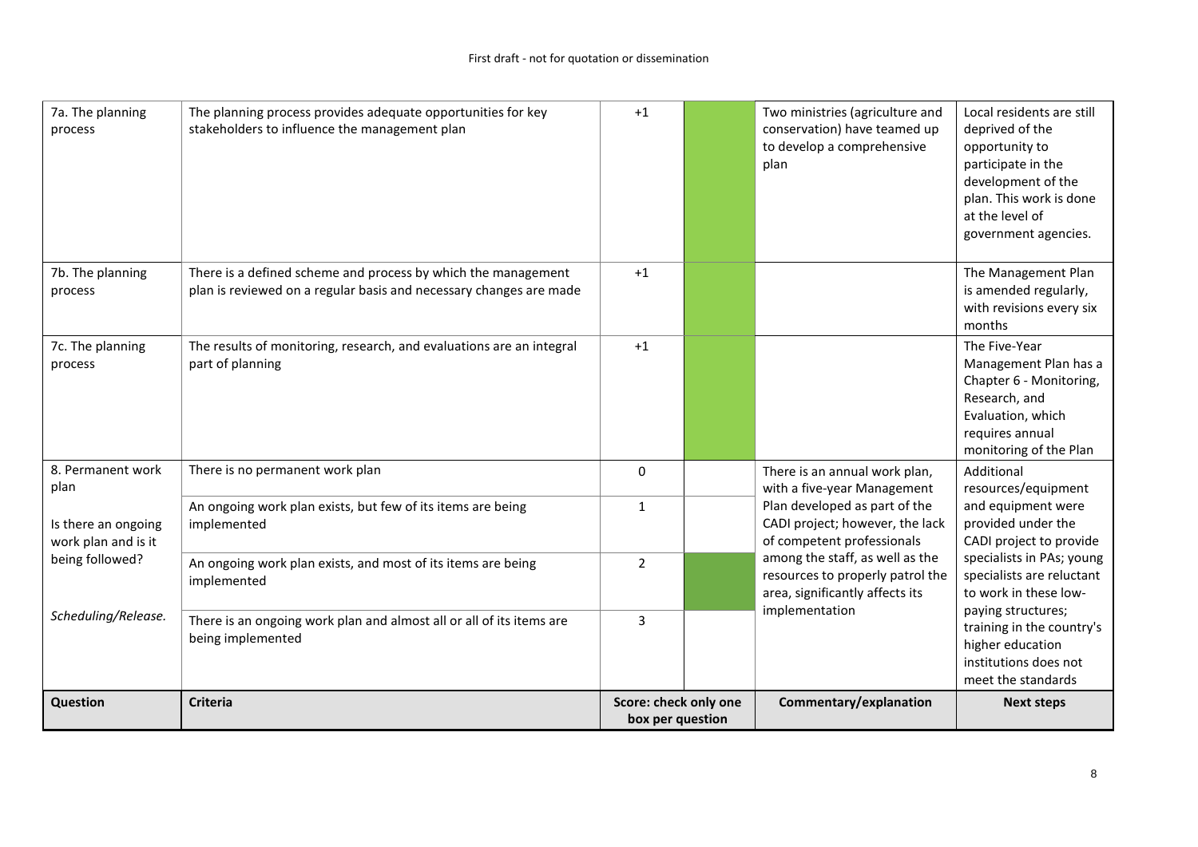| 7a. The planning<br>process                | The planning process provides adequate opportunities for key<br>stakeholders to influence the management plan                       | $+1$                                      | Two ministries (agriculture and<br>conservation) have teamed up<br>to develop a comprehensive<br>plan  | Local residents are still<br>deprived of the<br>opportunity to<br>participate in the<br>development of the<br>plan. This work is done<br>at the level of<br>government agencies. |
|--------------------------------------------|-------------------------------------------------------------------------------------------------------------------------------------|-------------------------------------------|--------------------------------------------------------------------------------------------------------|----------------------------------------------------------------------------------------------------------------------------------------------------------------------------------|
| 7b. The planning<br>process                | There is a defined scheme and process by which the management<br>plan is reviewed on a regular basis and necessary changes are made | $+1$                                      |                                                                                                        | The Management Plan<br>is amended regularly,<br>with revisions every six<br>months                                                                                               |
| 7c. The planning<br>process                | The results of monitoring, research, and evaluations are an integral<br>part of planning                                            | $+1$                                      |                                                                                                        | The Five-Year<br>Management Plan has a<br>Chapter 6 - Monitoring,<br>Research, and<br>Evaluation, which<br>requires annual<br>monitoring of the Plan                             |
| 8. Permanent work<br>plan                  | There is no permanent work plan                                                                                                     | 0                                         | There is an annual work plan,<br>with a five-year Management                                           | Additional<br>resources/equipment                                                                                                                                                |
| Is there an ongoing<br>work plan and is it | An ongoing work plan exists, but few of its items are being<br>implemented                                                          | $\mathbf{1}$                              | Plan developed as part of the<br>CADI project; however, the lack<br>of competent professionals         | and equipment were<br>provided under the<br>CADI project to provide                                                                                                              |
| being followed?                            | An ongoing work plan exists, and most of its items are being<br>implemented                                                         | $\overline{2}$                            | among the staff, as well as the<br>resources to properly patrol the<br>area, significantly affects its | specialists in PAs; young<br>specialists are reluctant<br>to work in these low-                                                                                                  |
| Scheduling/Release.                        | There is an ongoing work plan and almost all or all of its items are<br>being implemented                                           | 3                                         | implementation                                                                                         | paying structures;<br>training in the country's<br>higher education<br>institutions does not<br>meet the standards                                                               |
| <b>Question</b>                            | <b>Criteria</b>                                                                                                                     | Score: check only one<br>box per question | Commentary/explanation                                                                                 | <b>Next steps</b>                                                                                                                                                                |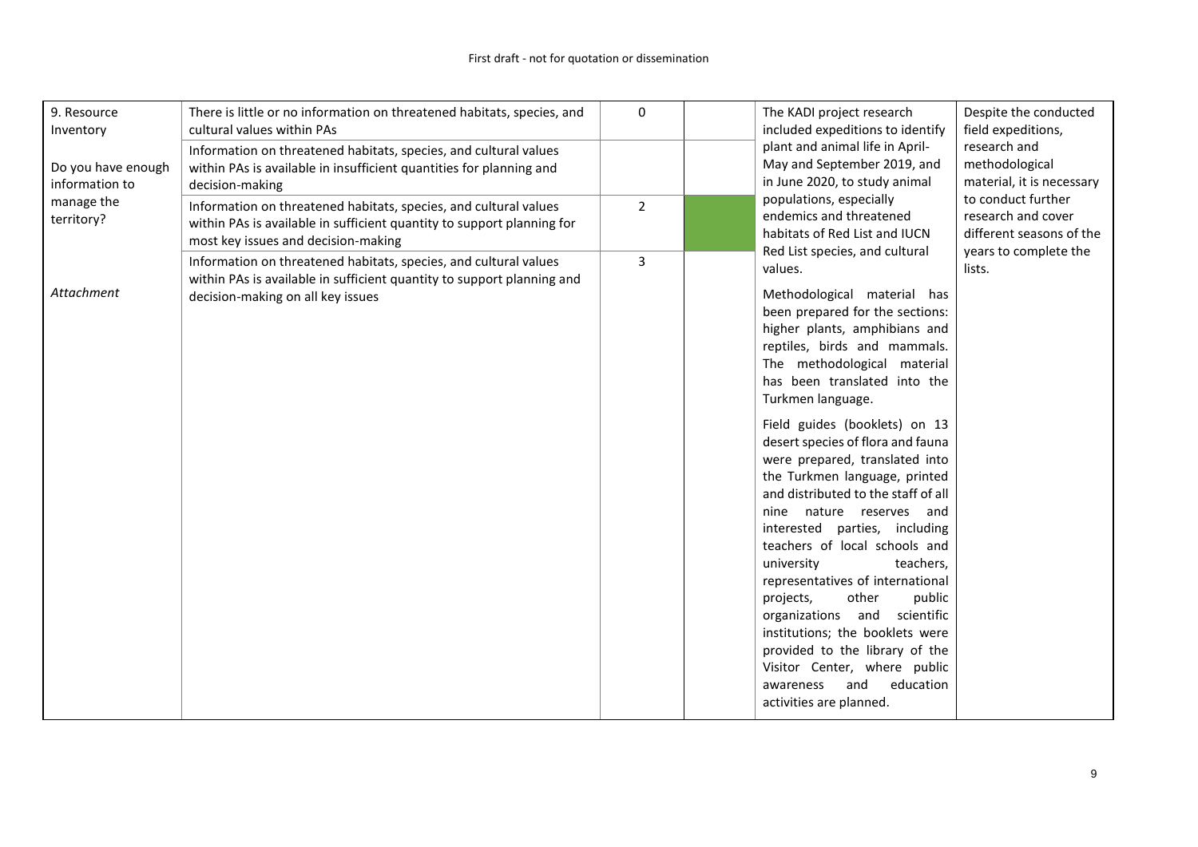| 9. Resource<br>Inventory<br>Do you have enough<br>information to | There is little or no information on threatened habitats, species, and<br>cultural values within PAs<br>Information on threatened habitats, species, and cultural values<br>within PAs is available in insufficient quantities for planning and<br>decision-making | $\mathsf 0$    | The KADI project research<br>included expeditions to identify<br>plant and animal life in April-<br>May and September 2019, and<br>in June 2020, to study animal<br>populations, especially                                                                                                                                                                                                                                                                                                                                                                                                                                                                                                                                                                                                                  | Despite the conducted<br>field expeditions,<br>research and<br>methodological<br>material, it is necessary<br>to conduct further<br>research and cover<br>different seasons of the<br>years to complete the |
|------------------------------------------------------------------|--------------------------------------------------------------------------------------------------------------------------------------------------------------------------------------------------------------------------------------------------------------------|----------------|--------------------------------------------------------------------------------------------------------------------------------------------------------------------------------------------------------------------------------------------------------------------------------------------------------------------------------------------------------------------------------------------------------------------------------------------------------------------------------------------------------------------------------------------------------------------------------------------------------------------------------------------------------------------------------------------------------------------------------------------------------------------------------------------------------------|-------------------------------------------------------------------------------------------------------------------------------------------------------------------------------------------------------------|
| manage the<br>territory?                                         | Information on threatened habitats, species, and cultural values<br>within PAs is available in sufficient quantity to support planning for<br>most key issues and decision-making                                                                                  | $\overline{2}$ | endemics and threatened<br>habitats of Red List and IUCN<br>Red List species, and cultural                                                                                                                                                                                                                                                                                                                                                                                                                                                                                                                                                                                                                                                                                                                   |                                                                                                                                                                                                             |
| Attachment                                                       | Information on threatened habitats, species, and cultural values<br>within PAs is available in sufficient quantity to support planning and<br>decision-making on all key issues                                                                                    | 3              | values.<br>Methodological material has<br>been prepared for the sections:<br>higher plants, amphibians and<br>reptiles, birds and mammals.<br>The methodological material<br>has been translated into the<br>Turkmen language.<br>Field guides (booklets) on 13<br>desert species of flora and fauna<br>were prepared, translated into<br>the Turkmen language, printed<br>and distributed to the staff of all<br>nine nature reserves and<br>interested parties, including<br>teachers of local schools and<br>university<br>teachers,<br>representatives of international<br>other<br>public<br>projects,<br>organizations and scientific<br>institutions; the booklets were<br>provided to the library of the<br>Visitor Center, where public<br>and<br>education<br>awareness<br>activities are planned. | lists.                                                                                                                                                                                                      |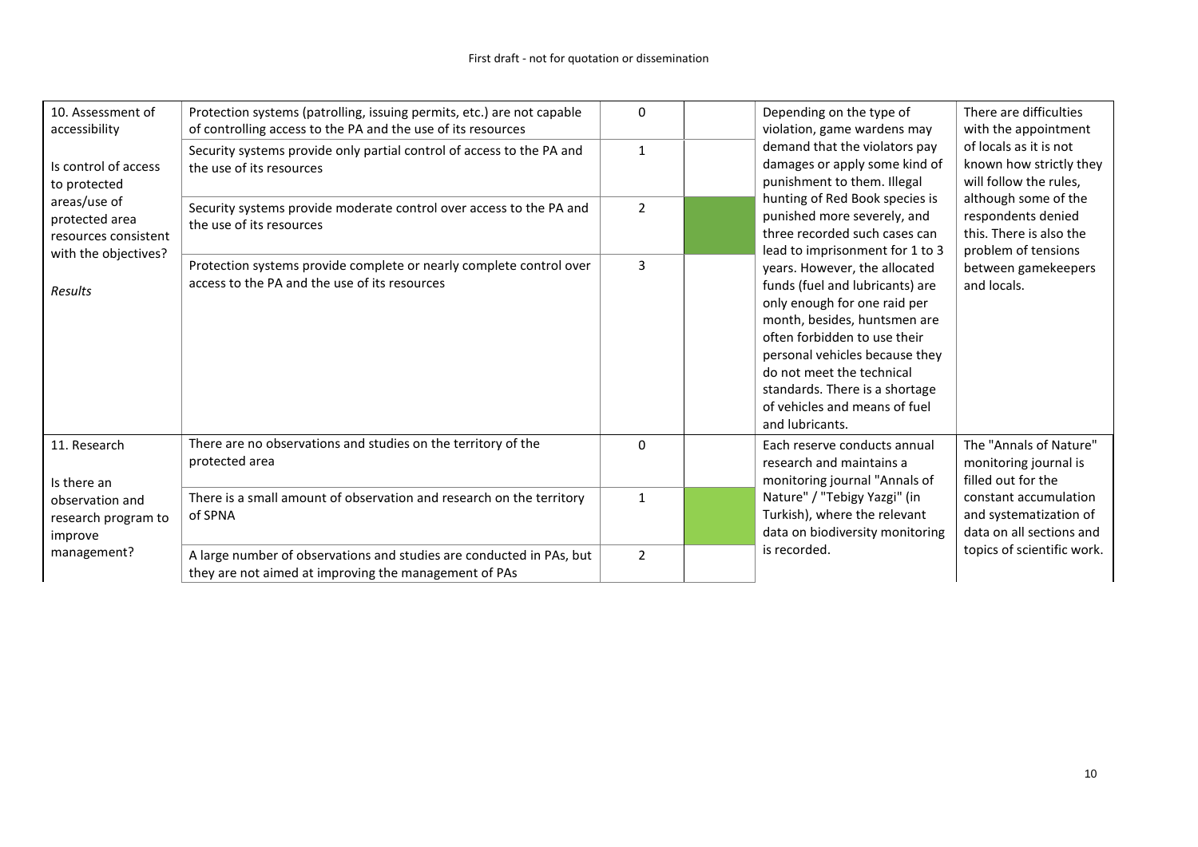| 10. Assessment of<br>accessibility<br>Is control of access<br>to protected | Protection systems (patrolling, issuing permits, etc.) are not capable<br>of controlling access to the PA and the use of its resources<br>Security systems provide only partial control of access to the PA and<br>the use of its resources | $\Omega$<br>$\mathbf{1}$ | Depending on the type of<br>There are difficulties<br>violation, game wardens may<br>with the appointment<br>demand that the violators pay<br>of locals as it is not<br>damages or apply some kind of<br>known how strictly they<br>punishment to them. Illegal<br>will follow the rules,                                                                   |
|----------------------------------------------------------------------------|---------------------------------------------------------------------------------------------------------------------------------------------------------------------------------------------------------------------------------------------|--------------------------|-------------------------------------------------------------------------------------------------------------------------------------------------------------------------------------------------------------------------------------------------------------------------------------------------------------------------------------------------------------|
| areas/use of<br>protected area<br>resources consistent                     | Security systems provide moderate control over access to the PA and<br>the use of its resources                                                                                                                                             | $\overline{2}$           | hunting of Red Book species is<br>although some of the<br>punished more severely, and<br>respondents denied<br>three recorded such cases can<br>this. There is also the<br>lead to imprisonment for 1 to 3<br>problem of tensions                                                                                                                           |
| with the objectives?<br><b>Results</b>                                     | Protection systems provide complete or nearly complete control over<br>access to the PA and the use of its resources                                                                                                                        | $\overline{3}$           | years. However, the allocated<br>between gamekeepers<br>funds (fuel and lubricants) are<br>and locals.<br>only enough for one raid per<br>month, besides, huntsmen are<br>often forbidden to use their<br>personal vehicles because they<br>do not meet the technical<br>standards. There is a shortage<br>of vehicles and means of fuel<br>and lubricants. |
| 11. Research<br>Is there an                                                | There are no observations and studies on the territory of the<br>protected area                                                                                                                                                             | $\Omega$                 | The "Annals of Nature"<br>Each reserve conducts annual<br>research and maintains a<br>monitoring journal is<br>monitoring journal "Annals of<br>filled out for the                                                                                                                                                                                          |
| observation and<br>research program to<br>improve                          | There is a small amount of observation and research on the territory<br>of SPNA                                                                                                                                                             | $\mathbf{1}$             | Nature" / "Tebigy Yazgi" (in<br>constant accumulation<br>Turkish), where the relevant<br>and systematization of<br>data on biodiversity monitoring<br>data on all sections and                                                                                                                                                                              |
| management?                                                                | A large number of observations and studies are conducted in PAs, but<br>they are not aimed at improving the management of PAs                                                                                                               | $\overline{2}$           | is recorded.<br>topics of scientific work.                                                                                                                                                                                                                                                                                                                  |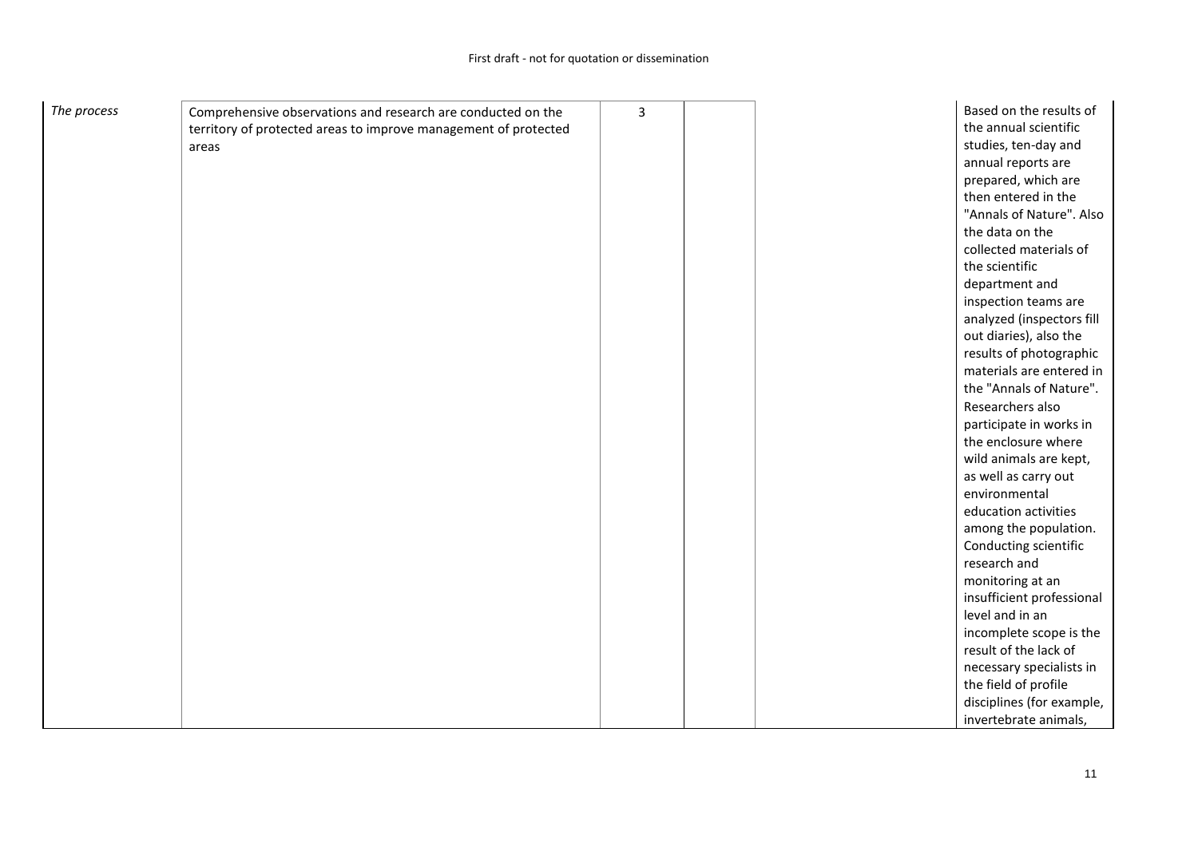| The process | Comprehensive observations and research are conducted on the    | 3 |  | Based on the results of   |
|-------------|-----------------------------------------------------------------|---|--|---------------------------|
|             | territory of protected areas to improve management of protected |   |  | the annual scientific     |
|             | areas                                                           |   |  | studies, ten-day and      |
|             |                                                                 |   |  | annual reports are        |
|             |                                                                 |   |  | prepared, which are       |
|             |                                                                 |   |  | then entered in the       |
|             |                                                                 |   |  | "Annals of Nature". Also  |
|             |                                                                 |   |  | the data on the           |
|             |                                                                 |   |  | collected materials of    |
|             |                                                                 |   |  | the scientific            |
|             |                                                                 |   |  |                           |
|             |                                                                 |   |  | department and            |
|             |                                                                 |   |  | inspection teams are      |
|             |                                                                 |   |  | analyzed (inspectors fill |
|             |                                                                 |   |  | out diaries), also the    |
|             |                                                                 |   |  | results of photographic   |
|             |                                                                 |   |  | materials are entered in  |
|             |                                                                 |   |  | the "Annals of Nature".   |
|             |                                                                 |   |  | Researchers also          |
|             |                                                                 |   |  | participate in works in   |
|             |                                                                 |   |  | the enclosure where       |
|             |                                                                 |   |  | wild animals are kept,    |
|             |                                                                 |   |  | as well as carry out      |
|             |                                                                 |   |  | environmental             |
|             |                                                                 |   |  | education activities      |
|             |                                                                 |   |  | among the population.     |
|             |                                                                 |   |  | Conducting scientific     |
|             |                                                                 |   |  | research and              |
|             |                                                                 |   |  | monitoring at an          |
|             |                                                                 |   |  | insufficient professional |
|             |                                                                 |   |  | level and in an           |
|             |                                                                 |   |  | incomplete scope is the   |
|             |                                                                 |   |  | result of the lack of     |
|             |                                                                 |   |  | necessary specialists in  |
|             |                                                                 |   |  | the field of profile      |
|             |                                                                 |   |  | disciplines (for example, |
|             |                                                                 |   |  | invertebrate animals,     |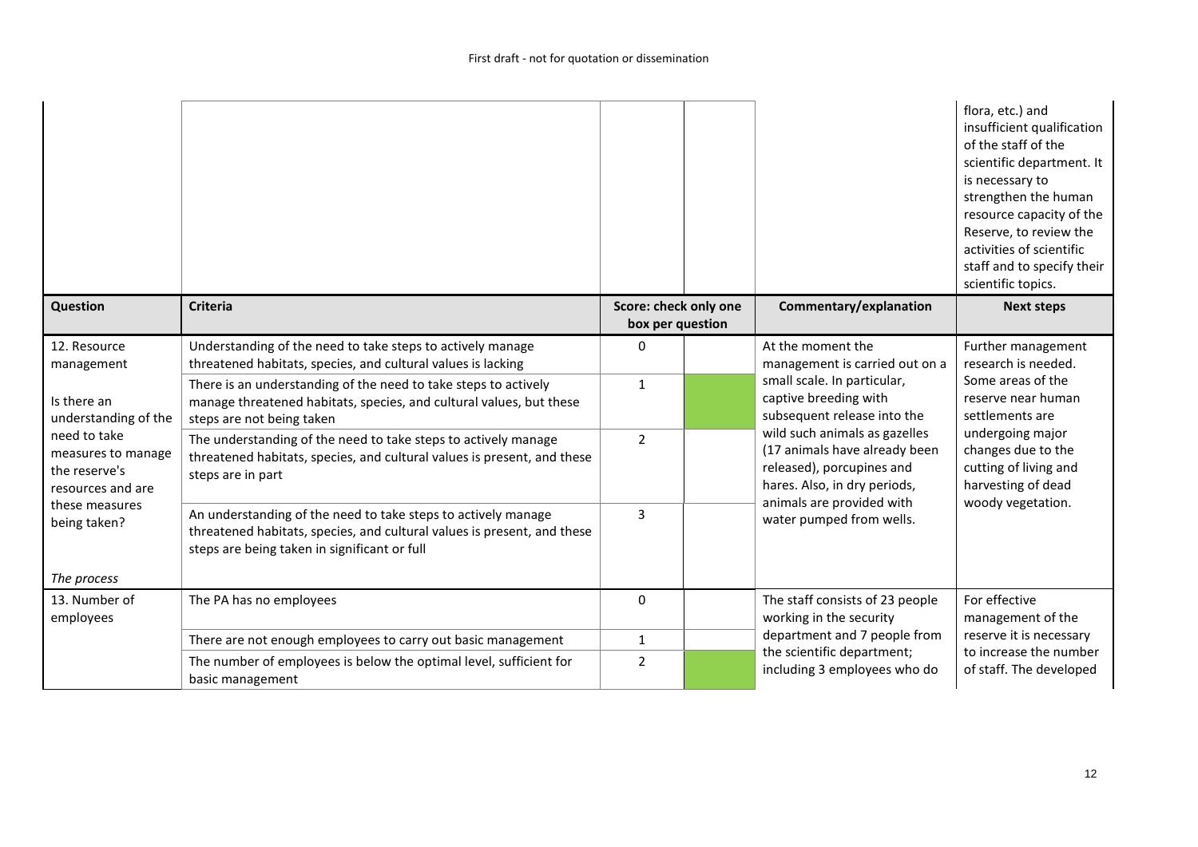|                                                                          |                                                                                                                                                                                          |                                           |                                                                                                                                                          | flora, etc.) and<br>insufficient qualification<br>of the staff of the<br>scientific department. It<br>is necessary to<br>strengthen the human<br>resource capacity of the<br>Reserve, to review the<br>activities of scientific<br>staff and to specify their<br>scientific topics. |
|--------------------------------------------------------------------------|------------------------------------------------------------------------------------------------------------------------------------------------------------------------------------------|-------------------------------------------|----------------------------------------------------------------------------------------------------------------------------------------------------------|-------------------------------------------------------------------------------------------------------------------------------------------------------------------------------------------------------------------------------------------------------------------------------------|
| Question                                                                 | <b>Criteria</b>                                                                                                                                                                          | Score: check only one<br>box per question | Commentary/explanation                                                                                                                                   | <b>Next steps</b>                                                                                                                                                                                                                                                                   |
| 12. Resource<br>management                                               | Understanding of the need to take steps to actively manage<br>threatened habitats, species, and cultural values is lacking                                                               | 0                                         | At the moment the<br>management is carried out on a                                                                                                      | Further management<br>research is needed.                                                                                                                                                                                                                                           |
| Is there an<br>understanding of the                                      | There is an understanding of the need to take steps to actively<br>manage threatened habitats, species, and cultural values, but these<br>steps are not being taken                      | $\mathbf{1}$                              | small scale. In particular,<br>captive breeding with<br>subsequent release into the                                                                      | Some areas of the<br>reserve near human<br>settlements are                                                                                                                                                                                                                          |
| need to take<br>measures to manage<br>the reserve's<br>resources and are | The understanding of the need to take steps to actively manage<br>threatened habitats, species, and cultural values is present, and these<br>steps are in part                           | $\mathcal{P}$                             | wild such animals as gazelles<br>(17 animals have already been<br>released), porcupines and<br>hares. Also, in dry periods,<br>animals are provided with | undergoing major<br>changes due to the<br>cutting of living and<br>harvesting of dead<br>woody vegetation.                                                                                                                                                                          |
| these measures<br>being taken?                                           | An understanding of the need to take steps to actively manage<br>threatened habitats, species, and cultural values is present, and these<br>steps are being taken in significant or full | 3                                         | water pumped from wells.                                                                                                                                 |                                                                                                                                                                                                                                                                                     |
| The process<br>13. Number of                                             | The PA has no employees                                                                                                                                                                  | 0                                         | The staff consists of 23 people                                                                                                                          | For effective                                                                                                                                                                                                                                                                       |
| employees                                                                |                                                                                                                                                                                          |                                           | working in the security                                                                                                                                  | management of the                                                                                                                                                                                                                                                                   |
|                                                                          | There are not enough employees to carry out basic management                                                                                                                             | $\mathbf{1}$                              | department and 7 people from<br>the scientific department;                                                                                               | reserve it is necessary<br>to increase the number                                                                                                                                                                                                                                   |
|                                                                          | The number of employees is below the optimal level, sufficient for<br>basic management                                                                                                   | $\overline{2}$                            | including 3 employees who do                                                                                                                             | of staff. The developed                                                                                                                                                                                                                                                             |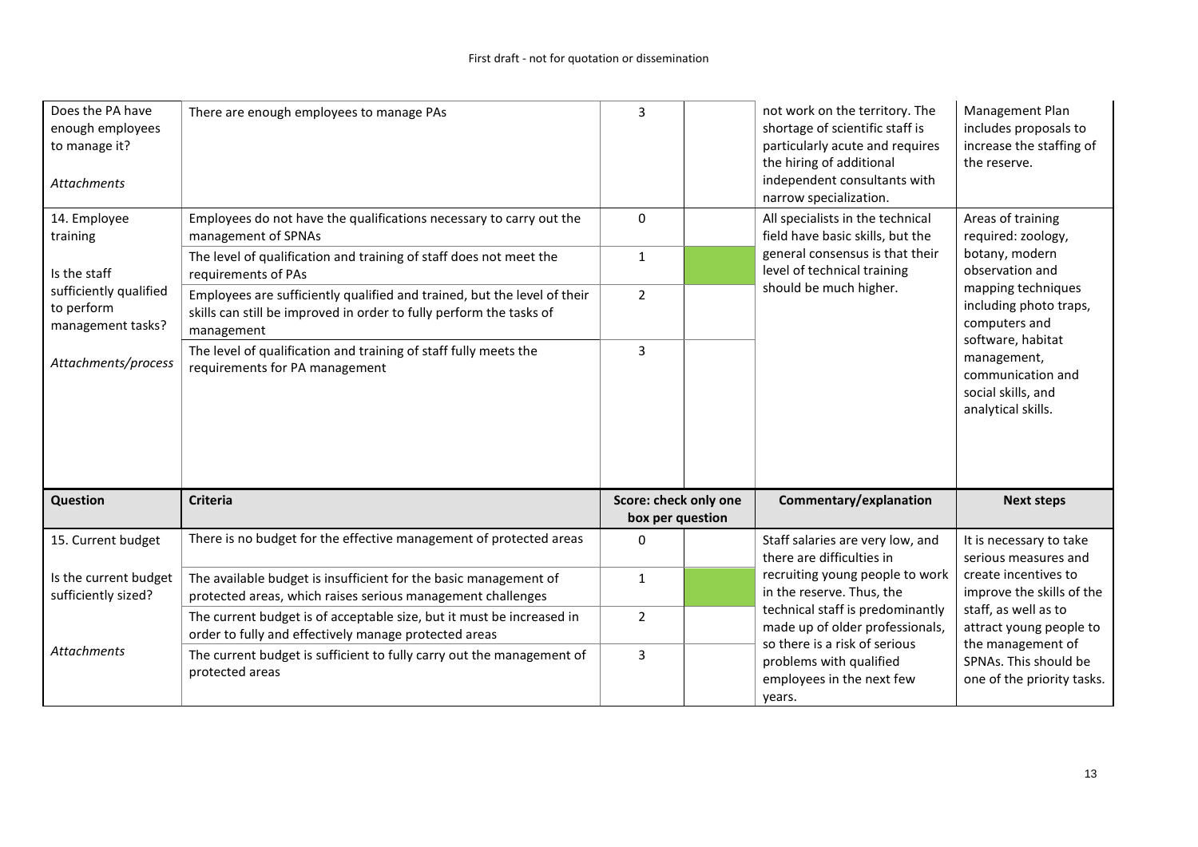| Does the PA have<br>enough employees<br>to manage it?<br><b>Attachments</b> | There are enough employees to manage PAs                                                                                                                      | 3                                         | not work on the territory. The<br>shortage of scientific staff is<br>particularly acute and requires<br>the hiring of additional<br>independent consultants with<br>narrow specialization. | Management Plan<br>includes proposals to<br>increase the staffing of<br>the reserve. |
|-----------------------------------------------------------------------------|---------------------------------------------------------------------------------------------------------------------------------------------------------------|-------------------------------------------|--------------------------------------------------------------------------------------------------------------------------------------------------------------------------------------------|--------------------------------------------------------------------------------------|
| 14. Employee<br>training                                                    | Employees do not have the qualifications necessary to carry out the<br>management of SPNAs                                                                    | 0                                         | All specialists in the technical<br>field have basic skills, but the                                                                                                                       | Areas of training<br>required: zoology,                                              |
| Is the staff                                                                | The level of qualification and training of staff does not meet the<br>requirements of PAs                                                                     | $\mathbf{1}$                              | general consensus is that their<br>level of technical training                                                                                                                             | botany, modern<br>observation and                                                    |
| sufficiently qualified<br>to perform<br>management tasks?                   | Employees are sufficiently qualified and trained, but the level of their<br>skills can still be improved in order to fully perform the tasks of<br>management | $\overline{2}$                            | should be much higher.                                                                                                                                                                     | mapping techniques<br>including photo traps,<br>computers and<br>software, habitat   |
| Attachments/process                                                         | The level of qualification and training of staff fully meets the<br>requirements for PA management                                                            | $\overline{3}$                            |                                                                                                                                                                                            | management,<br>communication and<br>social skills, and<br>analytical skills.         |
| Question                                                                    | <b>Criteria</b>                                                                                                                                               | Score: check only one<br>box per question | Commentary/explanation                                                                                                                                                                     | <b>Next steps</b>                                                                    |
| 15. Current budget                                                          | There is no budget for the effective management of protected areas                                                                                            | 0                                         | Staff salaries are very low, and<br>there are difficulties in                                                                                                                              | It is necessary to take<br>serious measures and                                      |
| Is the current budget<br>sufficiently sized?                                | The available budget is insufficient for the basic management of<br>protected areas, which raises serious management challenges                               | $\mathbf{1}$                              | recruiting young people to work<br>in the reserve. Thus, the                                                                                                                               | create incentives to<br>improve the skills of the                                    |
|                                                                             | The current budget is of acceptable size, but it must be increased in                                                                                         | $\overline{2}$                            | technical staff is predominantly<br>made up of older professionals,                                                                                                                        | staff, as well as to<br>attract young people to                                      |
|                                                                             | order to fully and effectively manage protected areas                                                                                                         |                                           | so there is a risk of serious                                                                                                                                                              | the management of                                                                    |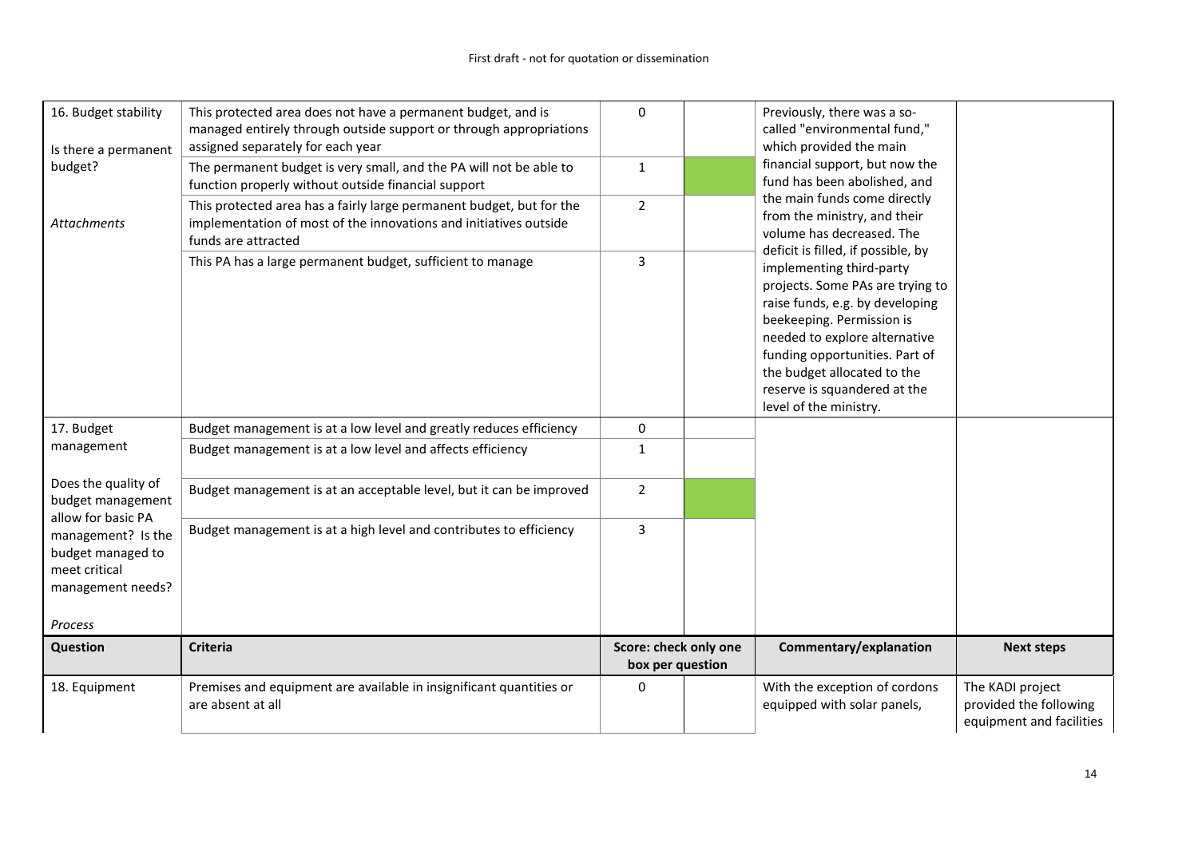| 16. Budget stability<br>Is there a permanent                                                        | This protected area does not have a permanent budget, and is<br>managed entirely through outside support or through appropriations<br>assigned separately for each year | 0                                         | Previously, there was a so-<br>called "environmental fund,"<br>which provided the main                                                                                                                                                                                                                                         |                                                                        |
|-----------------------------------------------------------------------------------------------------|-------------------------------------------------------------------------------------------------------------------------------------------------------------------------|-------------------------------------------|--------------------------------------------------------------------------------------------------------------------------------------------------------------------------------------------------------------------------------------------------------------------------------------------------------------------------------|------------------------------------------------------------------------|
| budget?                                                                                             | The permanent budget is very small, and the PA will not be able to<br>function properly without outside financial support                                               | $\mathbf{1}$                              | financial support, but now the<br>fund has been abolished, and                                                                                                                                                                                                                                                                 |                                                                        |
| <b>Attachments</b>                                                                                  | This protected area has a fairly large permanent budget, but for the<br>implementation of most of the innovations and initiatives outside<br>funds are attracted        | $\overline{2}$                            | the main funds come directly<br>from the ministry, and their<br>volume has decreased. The                                                                                                                                                                                                                                      |                                                                        |
|                                                                                                     | This PA has a large permanent budget, sufficient to manage                                                                                                              | 3                                         | deficit is filled, if possible, by<br>implementing third-party<br>projects. Some PAs are trying to<br>raise funds, e.g. by developing<br>beekeeping. Permission is<br>needed to explore alternative<br>funding opportunities. Part of<br>the budget allocated to the<br>reserve is squandered at the<br>level of the ministry. |                                                                        |
| 17. Budget                                                                                          | Budget management is at a low level and greatly reduces efficiency                                                                                                      | 0                                         |                                                                                                                                                                                                                                                                                                                                |                                                                        |
| management                                                                                          | Budget management is at a low level and affects efficiency                                                                                                              | $\mathbf{1}$                              |                                                                                                                                                                                                                                                                                                                                |                                                                        |
| Does the quality of<br>budget management                                                            | Budget management is at an acceptable level, but it can be improved                                                                                                     | $\overline{2}$                            |                                                                                                                                                                                                                                                                                                                                |                                                                        |
| allow for basic PA<br>management? Is the<br>budget managed to<br>meet critical<br>management needs? | Budget management is at a high level and contributes to efficiency                                                                                                      | 3                                         |                                                                                                                                                                                                                                                                                                                                |                                                                        |
| Process                                                                                             |                                                                                                                                                                         |                                           |                                                                                                                                                                                                                                                                                                                                |                                                                        |
| Question                                                                                            | <b>Criteria</b>                                                                                                                                                         | Score: check only one<br>box per question | Commentary/explanation                                                                                                                                                                                                                                                                                                         | <b>Next steps</b>                                                      |
| 18. Equipment                                                                                       | Premises and equipment are available in insignificant quantities or<br>are absent at all                                                                                | 0                                         | With the exception of cordons<br>equipped with solar panels,                                                                                                                                                                                                                                                                   | The KADI project<br>provided the following<br>equipment and facilities |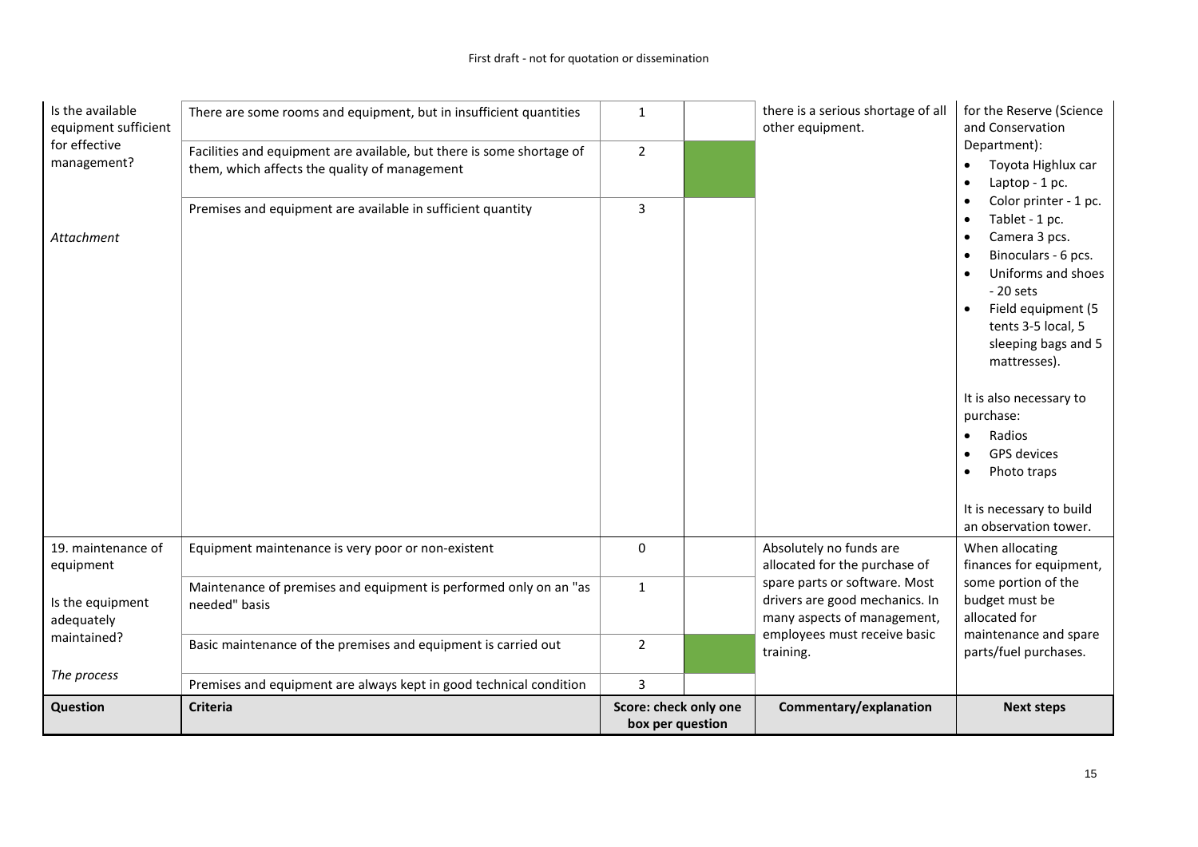| Is the available<br>equipment sufficient | There are some rooms and equipment, but in insufficient quantities                                                     | $\mathbf{1}$                              | there is a serious shortage of all<br>other equipment.                                         | for the Reserve (Science<br>and Conservation                                                                                                                                                                                                                                                                                                                                                                                                                     |
|------------------------------------------|------------------------------------------------------------------------------------------------------------------------|-------------------------------------------|------------------------------------------------------------------------------------------------|------------------------------------------------------------------------------------------------------------------------------------------------------------------------------------------------------------------------------------------------------------------------------------------------------------------------------------------------------------------------------------------------------------------------------------------------------------------|
| for effective<br>management?             | Facilities and equipment are available, but there is some shortage of<br>them, which affects the quality of management | $\overline{2}$                            |                                                                                                | Department):<br>Toyota Highlux car<br>$\bullet$<br>Laptop - 1 pc.<br>$\bullet$                                                                                                                                                                                                                                                                                                                                                                                   |
| Attachment                               | Premises and equipment are available in sufficient quantity                                                            | 3                                         |                                                                                                | Color printer - 1 pc.<br>$\bullet$<br>Tablet - 1 pc.<br>$\bullet$<br>Camera 3 pcs.<br>$\bullet$<br>Binoculars - 6 pcs.<br>$\bullet$<br>Uniforms and shoes<br>$\bullet$<br>$-20$ sets<br>Field equipment (5<br>$\bullet$<br>tents 3-5 local, 5<br>sleeping bags and 5<br>mattresses).<br>It is also necessary to<br>purchase:<br>Radios<br>$\bullet$<br>GPS devices<br>$\bullet$<br>Photo traps<br>$\bullet$<br>It is necessary to build<br>an observation tower. |
| 19. maintenance of<br>equipment          | Equipment maintenance is very poor or non-existent                                                                     | 0                                         | Absolutely no funds are<br>allocated for the purchase of                                       | When allocating<br>finances for equipment,                                                                                                                                                                                                                                                                                                                                                                                                                       |
| Is the equipment<br>adequately           | Maintenance of premises and equipment is performed only on an "as<br>needed" basis                                     | $\mathbf{1}$                              | spare parts or software. Most<br>drivers are good mechanics. In<br>many aspects of management, | some portion of the<br>budget must be<br>allocated for                                                                                                                                                                                                                                                                                                                                                                                                           |
| maintained?<br>The process               | Basic maintenance of the premises and equipment is carried out                                                         | $\overline{2}$                            | employees must receive basic<br>training.                                                      | maintenance and spare<br>parts/fuel purchases.                                                                                                                                                                                                                                                                                                                                                                                                                   |
|                                          | Premises and equipment are always kept in good technical condition                                                     | 3                                         |                                                                                                |                                                                                                                                                                                                                                                                                                                                                                                                                                                                  |
| <b>Question</b>                          | <b>Criteria</b>                                                                                                        | Score: check only one<br>box per question | Commentary/explanation                                                                         | <b>Next steps</b>                                                                                                                                                                                                                                                                                                                                                                                                                                                |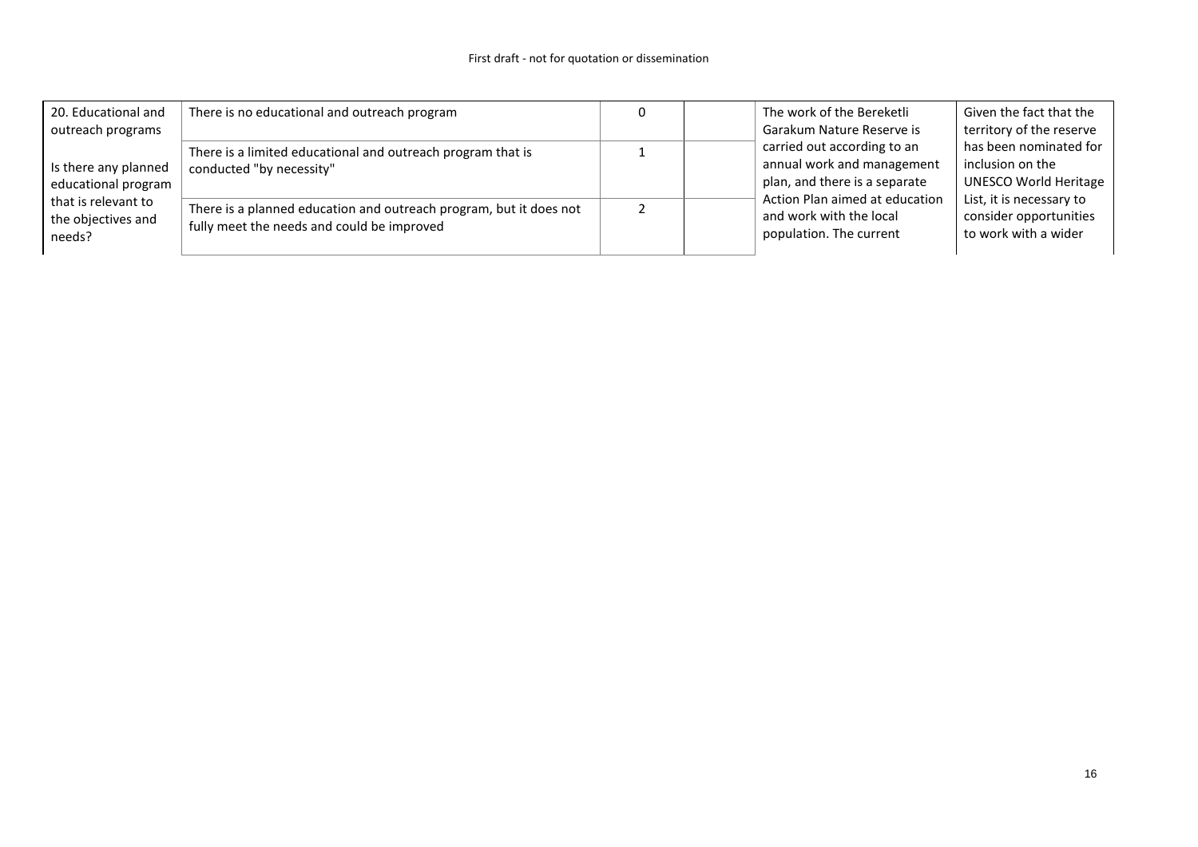| 20. Educational and  | There is no educational and outreach program                                                                     |  | The work of the Bereketli      | Given the fact that the      |
|----------------------|------------------------------------------------------------------------------------------------------------------|--|--------------------------------|------------------------------|
| outreach programs    |                                                                                                                  |  | Garakum Nature Reserve is      | territory of the reserve     |
|                      | There is a limited educational and outreach program that is                                                      |  | carried out according to an    | has been nominated for       |
| Is there any planned | conducted "by necessity"                                                                                         |  | annual work and management     | inclusion on the             |
| educational program  |                                                                                                                  |  | plan, and there is a separate  | <b>UNESCO World Heritage</b> |
| that is relevant to  |                                                                                                                  |  | Action Plan aimed at education | List, it is necessary to     |
| the objectives and   | There is a planned education and outreach program, but it does not<br>fully meet the needs and could be improved |  | and work with the local        | consider opportunities       |
| needs?               |                                                                                                                  |  | population. The current        | to work with a wider         |
|                      |                                                                                                                  |  |                                |                              |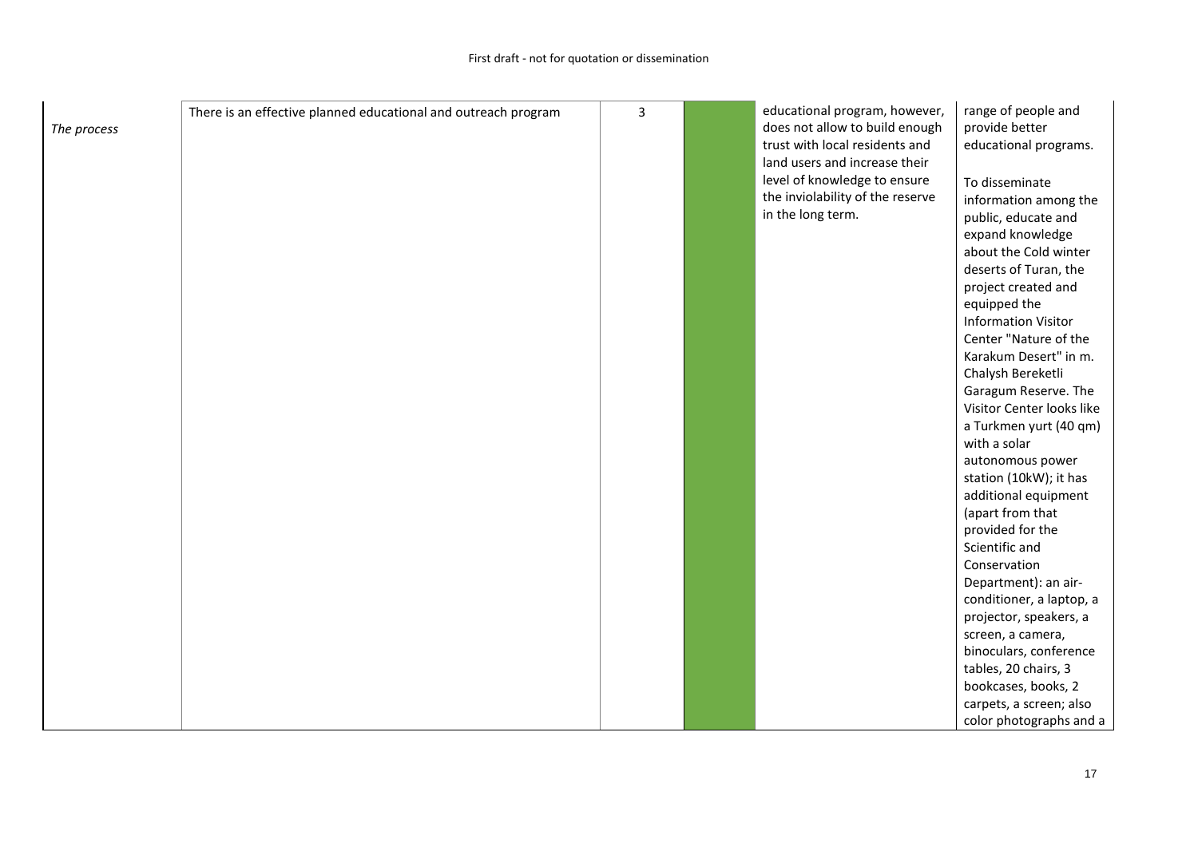| The process | There is an effective planned educational and outreach program | 3 | educational program, however,<br>does not allow to build enough<br>trust with local residents and<br>land users and increase their<br>level of knowledge to ensure<br>the inviolability of the reserve<br>in the long term. | range of people and<br>provide better<br>educational programs.<br>To disseminate<br>information among the<br>public, educate and<br>expand knowledge<br>about the Cold winter<br>deserts of Turan, the<br>project created and<br>equipped the<br><b>Information Visitor</b><br>Center "Nature of the<br>Karakum Desert" in m.<br>Chalysh Bereketli<br>Garagum Reserve. The<br>Visitor Center looks like<br>a Turkmen yurt (40 qm)<br>with a solar<br>autonomous power<br>station (10kW); it has<br>additional equipment<br>(apart from that<br>provided for the<br>Scientific and<br>Conservation<br>Department): an air-<br>conditioner, a laptop, a<br>projector, speakers, a<br>screen, a camera,<br>binoculars, conference<br>tables, 20 chairs, 3 |
|-------------|----------------------------------------------------------------|---|-----------------------------------------------------------------------------------------------------------------------------------------------------------------------------------------------------------------------------|--------------------------------------------------------------------------------------------------------------------------------------------------------------------------------------------------------------------------------------------------------------------------------------------------------------------------------------------------------------------------------------------------------------------------------------------------------------------------------------------------------------------------------------------------------------------------------------------------------------------------------------------------------------------------------------------------------------------------------------------------------|
|             |                                                                |   |                                                                                                                                                                                                                             | bookcases, books, 2<br>carpets, a screen; also<br>color photographs and a                                                                                                                                                                                                                                                                                                                                                                                                                                                                                                                                                                                                                                                                              |
|             |                                                                |   |                                                                                                                                                                                                                             |                                                                                                                                                                                                                                                                                                                                                                                                                                                                                                                                                                                                                                                                                                                                                        |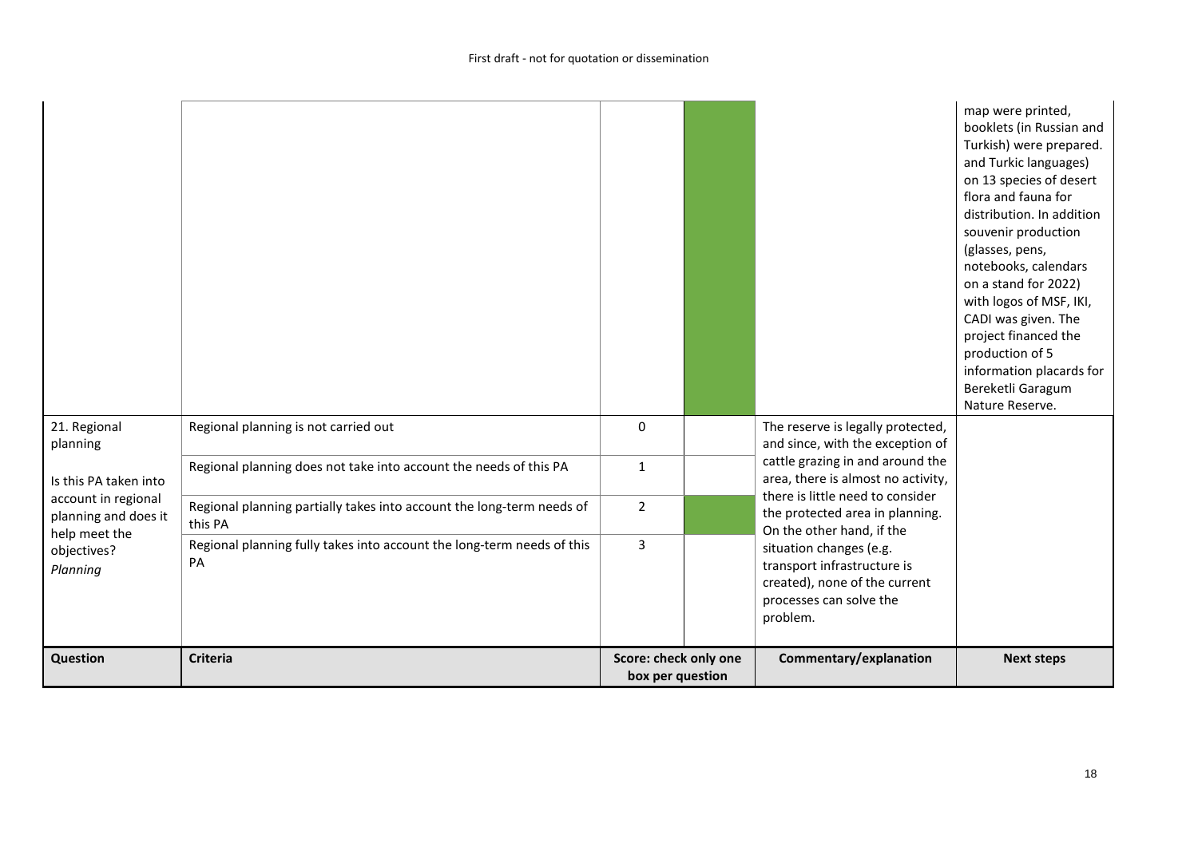|                                             |                                                                                  |                                           |  |                                                                                                                                                                            | map were printed,<br>booklets (in Russian and<br>Turkish) were prepared.<br>and Turkic languages)<br>on 13 species of desert<br>flora and fauna for<br>distribution. In addition<br>souvenir production<br>(glasses, pens,<br>notebooks, calendars<br>on a stand for 2022)<br>with logos of MSF, IKI,<br>CADI was given. The<br>project financed the<br>production of 5<br>information placards for<br>Bereketli Garagum<br>Nature Reserve. |
|---------------------------------------------|----------------------------------------------------------------------------------|-------------------------------------------|--|----------------------------------------------------------------------------------------------------------------------------------------------------------------------------|---------------------------------------------------------------------------------------------------------------------------------------------------------------------------------------------------------------------------------------------------------------------------------------------------------------------------------------------------------------------------------------------------------------------------------------------|
| 21. Regional<br>planning                    | Regional planning is not carried out                                             | 0                                         |  | The reserve is legally protected,<br>and since, with the exception of                                                                                                      |                                                                                                                                                                                                                                                                                                                                                                                                                                             |
| Is this PA taken into                       | Regional planning does not take into account the needs of this PA                | $1\,$                                     |  | cattle grazing in and around the<br>area, there is almost no activity,<br>there is little need to consider<br>the protected area in planning.<br>On the other hand, if the |                                                                                                                                                                                                                                                                                                                                                                                                                                             |
| account in regional<br>planning and does it | Regional planning partially takes into account the long-term needs of<br>this PA | $\overline{2}$                            |  |                                                                                                                                                                            |                                                                                                                                                                                                                                                                                                                                                                                                                                             |
| help meet the<br>objectives?<br>Planning    | Regional planning fully takes into account the long-term needs of this<br>PA     | $\overline{3}$                            |  | situation changes (e.g.<br>transport infrastructure is<br>created), none of the current<br>processes can solve the<br>problem.                                             |                                                                                                                                                                                                                                                                                                                                                                                                                                             |
| Question                                    | <b>Criteria</b>                                                                  | Score: check only one<br>box per question |  | Commentary/explanation                                                                                                                                                     | <b>Next steps</b>                                                                                                                                                                                                                                                                                                                                                                                                                           |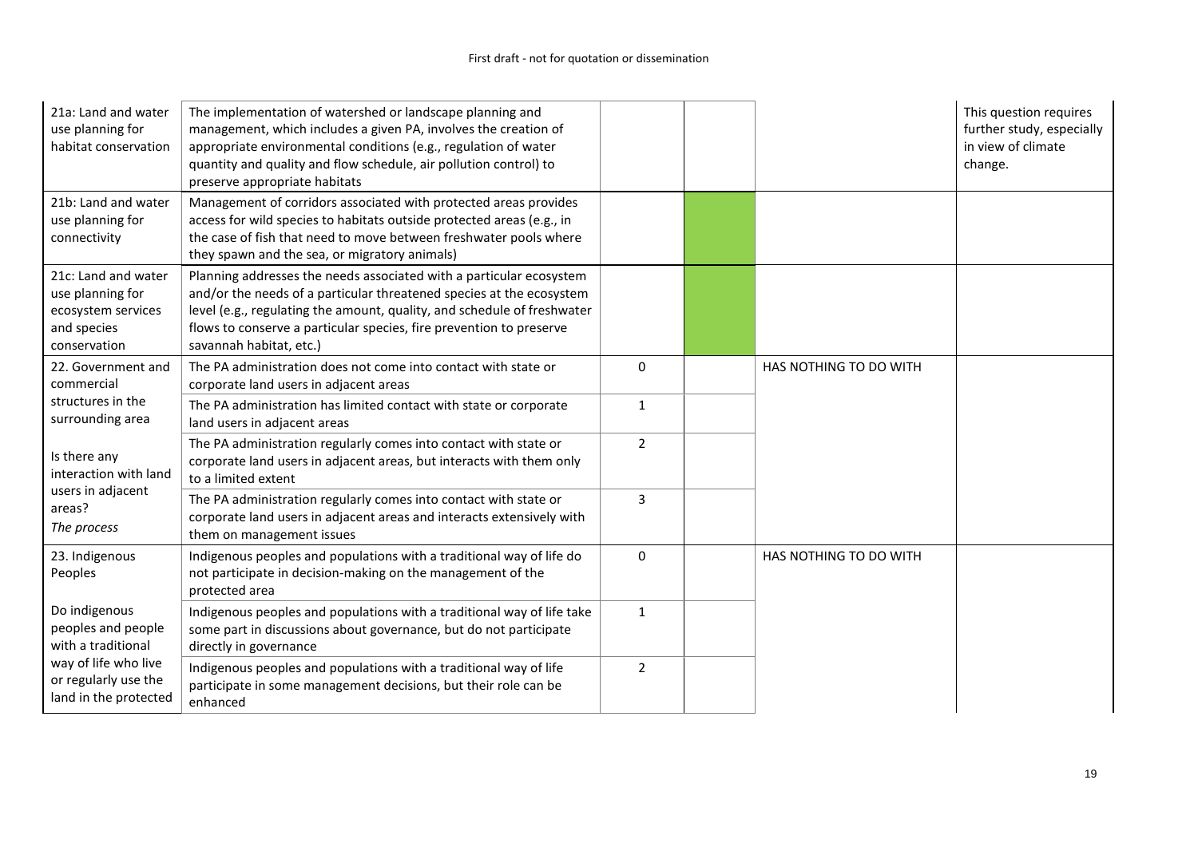| 21a: Land and water<br>use planning for<br>habitat conservation                                                                    | The implementation of watershed or landscape planning and<br>management, which includes a given PA, involves the creation of<br>appropriate environmental conditions (e.g., regulation of water<br>quantity and quality and flow schedule, air pollution control) to<br>preserve appropriate habitats                    |                |                        | This question requires<br>further study, especially<br>in view of climate<br>change. |
|------------------------------------------------------------------------------------------------------------------------------------|--------------------------------------------------------------------------------------------------------------------------------------------------------------------------------------------------------------------------------------------------------------------------------------------------------------------------|----------------|------------------------|--------------------------------------------------------------------------------------|
| 21b: Land and water<br>use planning for<br>connectivity                                                                            | Management of corridors associated with protected areas provides<br>access for wild species to habitats outside protected areas (e.g., in<br>the case of fish that need to move between freshwater pools where<br>they spawn and the sea, or migratory animals)                                                          |                |                        |                                                                                      |
| 21c: Land and water<br>use planning for<br>ecosystem services<br>and species<br>conservation                                       | Planning addresses the needs associated with a particular ecosystem<br>and/or the needs of a particular threatened species at the ecosystem<br>level (e.g., regulating the amount, quality, and schedule of freshwater<br>flows to conserve a particular species, fire prevention to preserve<br>savannah habitat, etc.) |                |                        |                                                                                      |
| 22. Government and<br>commercial<br>structures in the<br>surrounding area                                                          | The PA administration does not come into contact with state or<br>corporate land users in adjacent areas                                                                                                                                                                                                                 | 0              | HAS NOTHING TO DO WITH |                                                                                      |
|                                                                                                                                    | The PA administration has limited contact with state or corporate<br>land users in adjacent areas                                                                                                                                                                                                                        | $\mathbf{1}$   |                        |                                                                                      |
| Is there any<br>interaction with land<br>users in adjacent<br>areas?<br>The process                                                | The PA administration regularly comes into contact with state or<br>corporate land users in adjacent areas, but interacts with them only<br>to a limited extent                                                                                                                                                          | $\overline{2}$ |                        |                                                                                      |
|                                                                                                                                    | The PA administration regularly comes into contact with state or<br>corporate land users in adjacent areas and interacts extensively with<br>them on management issues                                                                                                                                                   | 3              |                        |                                                                                      |
| 23. Indigenous<br>Peoples                                                                                                          | Indigenous peoples and populations with a traditional way of life do<br>not participate in decision-making on the management of the<br>protected area                                                                                                                                                                    | 0              | HAS NOTHING TO DO WITH |                                                                                      |
| Do indigenous<br>peoples and people<br>with a traditional<br>way of life who live<br>or regularly use the<br>land in the protected | Indigenous peoples and populations with a traditional way of life take<br>some part in discussions about governance, but do not participate<br>directly in governance                                                                                                                                                    | $\mathbf{1}$   |                        |                                                                                      |
|                                                                                                                                    | Indigenous peoples and populations with a traditional way of life<br>participate in some management decisions, but their role can be<br>enhanced                                                                                                                                                                         | $\overline{2}$ |                        |                                                                                      |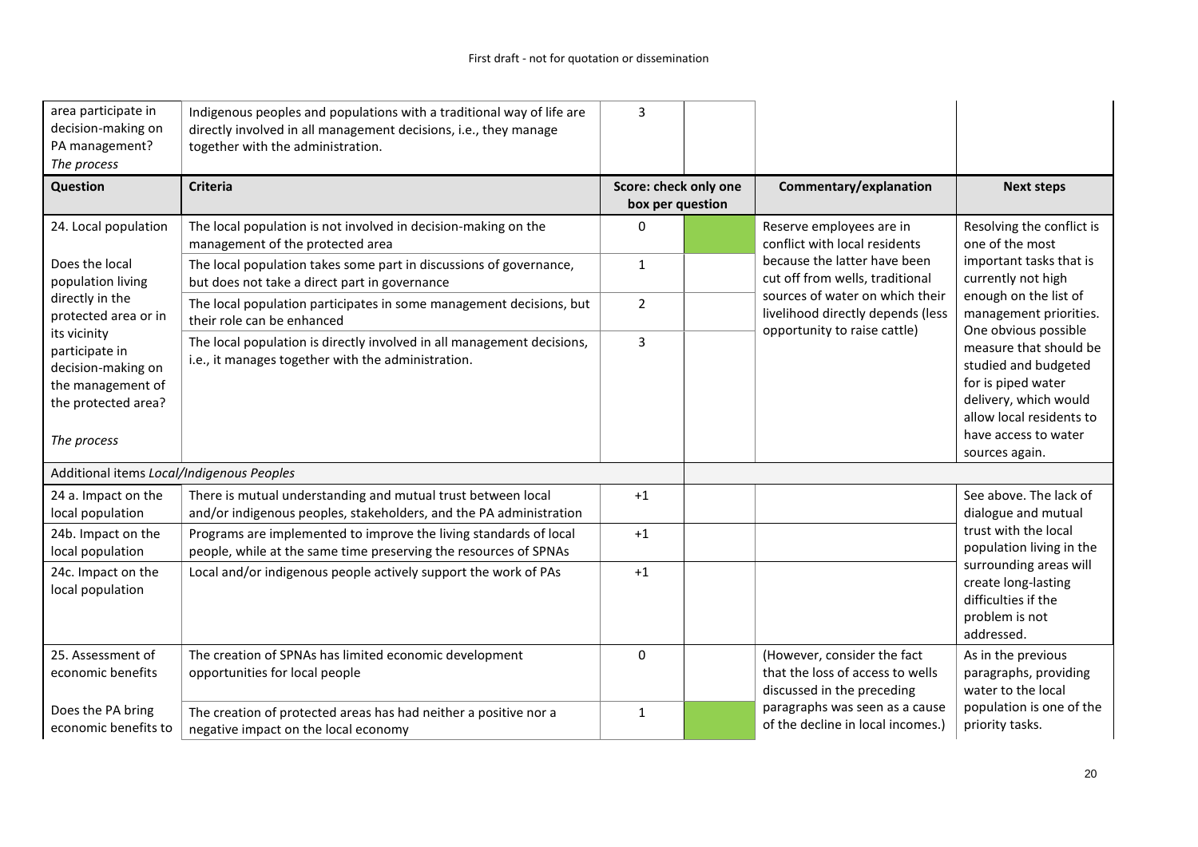| area participate in<br>decision-making on<br>PA management?<br>The process                                      | Indigenous peoples and populations with a traditional way of life are<br>directly involved in all management decisions, i.e., they manage<br>together with the administration. | 3                                         |                                                                                               |                                                                                                                                                                                             |
|-----------------------------------------------------------------------------------------------------------------|--------------------------------------------------------------------------------------------------------------------------------------------------------------------------------|-------------------------------------------|-----------------------------------------------------------------------------------------------|---------------------------------------------------------------------------------------------------------------------------------------------------------------------------------------------|
| Question                                                                                                        | <b>Criteria</b>                                                                                                                                                                | Score: check only one<br>box per question | Commentary/explanation                                                                        | <b>Next steps</b>                                                                                                                                                                           |
| 24. Local population                                                                                            | The local population is not involved in decision-making on the<br>management of the protected area                                                                             | $\Omega$                                  | Reserve employees are in<br>conflict with local residents                                     | Resolving the conflict is<br>one of the most                                                                                                                                                |
| Does the local<br>population living                                                                             | The local population takes some part in discussions of governance,<br>but does not take a direct part in governance                                                            | $\mathbf{1}$                              | because the latter have been<br>cut off from wells, traditional                               | important tasks that is<br>currently not high                                                                                                                                               |
| directly in the<br>protected area or in                                                                         | The local population participates in some management decisions, but<br>their role can be enhanced                                                                              | 2                                         | sources of water on which their<br>livelihood directly depends (less                          | enough on the list of<br>management priorities.                                                                                                                                             |
| its vicinity<br>participate in<br>decision-making on<br>the management of<br>the protected area?<br>The process | The local population is directly involved in all management decisions,<br>i.e., it manages together with the administration.                                                   | $\overline{3}$                            | opportunity to raise cattle)                                                                  | One obvious possible<br>measure that should be<br>studied and budgeted<br>for is piped water<br>delivery, which would<br>allow local residents to<br>have access to water<br>sources again. |
| Additional items Local/Indigenous Peoples                                                                       |                                                                                                                                                                                |                                           |                                                                                               |                                                                                                                                                                                             |
| 24 a. Impact on the<br>local population                                                                         | There is mutual understanding and mutual trust between local<br>and/or indigenous peoples, stakeholders, and the PA administration                                             | $+1$                                      |                                                                                               | See above. The lack of<br>dialogue and mutual                                                                                                                                               |
| 24b. Impact on the<br>local population                                                                          | Programs are implemented to improve the living standards of local<br>people, while at the same time preserving the resources of SPNAs                                          | $+1$                                      |                                                                                               | trust with the local<br>population living in the                                                                                                                                            |
| 24c. Impact on the<br>local population                                                                          | Local and/or indigenous people actively support the work of PAs                                                                                                                | $+1$                                      |                                                                                               | surrounding areas will<br>create long-lasting<br>difficulties if the<br>problem is not<br>addressed.                                                                                        |
| 25. Assessment of<br>economic benefits                                                                          | The creation of SPNAs has limited economic development<br>opportunities for local people                                                                                       | $\Omega$                                  | (However, consider the fact<br>that the loss of access to wells<br>discussed in the preceding | As in the previous<br>paragraphs, providing<br>water to the local                                                                                                                           |
| Does the PA bring<br>economic benefits to                                                                       | The creation of protected areas has had neither a positive nor a<br>negative impact on the local economy                                                                       | $\mathbf{1}$                              | paragraphs was seen as a cause<br>of the decline in local incomes.)                           | population is one of the<br>priority tasks.                                                                                                                                                 |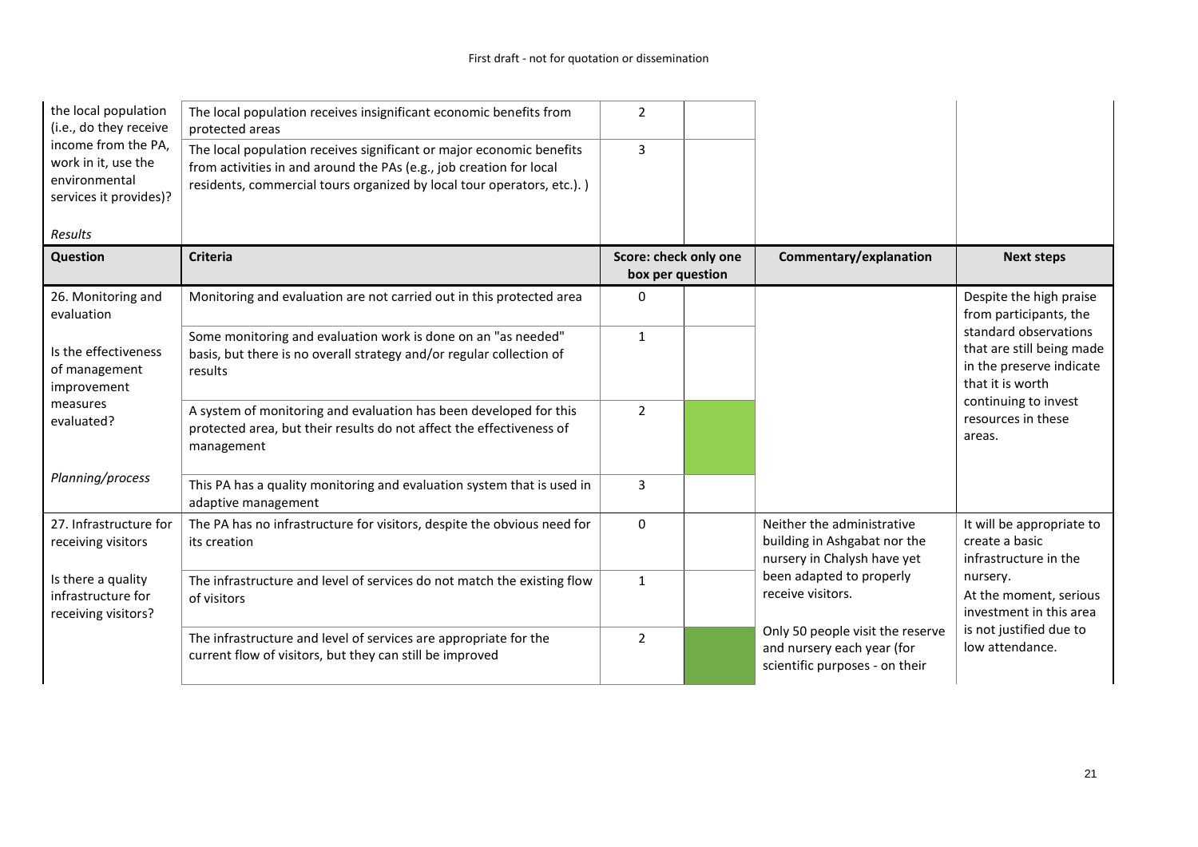| the local population<br>(i.e., do they receive                                        | The local population receives insignificant economic benefits from<br>protected areas                                                                                                                                 | $\overline{2}$                            |                                                                                                  |                                                                                                    |
|---------------------------------------------------------------------------------------|-----------------------------------------------------------------------------------------------------------------------------------------------------------------------------------------------------------------------|-------------------------------------------|--------------------------------------------------------------------------------------------------|----------------------------------------------------------------------------------------------------|
| income from the PA,<br>work in it, use the<br>environmental<br>services it provides)? | The local population receives significant or major economic benefits<br>from activities in and around the PAs (e.g., job creation for local<br>residents, commercial tours organized by local tour operators, etc.).) | 3                                         |                                                                                                  |                                                                                                    |
| Results                                                                               |                                                                                                                                                                                                                       |                                           |                                                                                                  |                                                                                                    |
| <b>Question</b>                                                                       | <b>Criteria</b>                                                                                                                                                                                                       | Score: check only one<br>box per question | Commentary/explanation                                                                           | <b>Next steps</b>                                                                                  |
| 26. Monitoring and<br>evaluation                                                      | Monitoring and evaluation are not carried out in this protected area                                                                                                                                                  | $\mathbf{0}$                              |                                                                                                  | Despite the high praise<br>from participants, the                                                  |
| Is the effectiveness<br>of management<br>improvement                                  | Some monitoring and evaluation work is done on an "as needed"<br>basis, but there is no overall strategy and/or regular collection of<br>results                                                                      | $\mathbf{1}$                              |                                                                                                  | standard observations<br>that are still being made<br>in the preserve indicate<br>that it is worth |
| measures<br>evaluated?                                                                | A system of monitoring and evaluation has been developed for this<br>protected area, but their results do not affect the effectiveness of<br>management                                                               | $\mathfrak{p}$                            |                                                                                                  | continuing to invest<br>resources in these<br>areas.                                               |
| Planning/process                                                                      | This PA has a quality monitoring and evaluation system that is used in<br>adaptive management                                                                                                                         | 3                                         |                                                                                                  |                                                                                                    |
| 27. Infrastructure for<br>receiving visitors                                          | The PA has no infrastructure for visitors, despite the obvious need for<br>its creation                                                                                                                               | $\mathbf{0}$                              | Neither the administrative<br>building in Ashgabat nor the<br>nursery in Chalysh have yet        | It will be appropriate to<br>create a basic<br>infrastructure in the                               |
| Is there a quality<br>infrastructure for<br>receiving visitors?                       | The infrastructure and level of services do not match the existing flow<br>of visitors                                                                                                                                | 1                                         | been adapted to properly<br>receive visitors.                                                    | nursery.<br>At the moment, serious<br>investment in this area                                      |
|                                                                                       | The infrastructure and level of services are appropriate for the<br>current flow of visitors, but they can still be improved                                                                                          | $\mathcal{P}$                             | Only 50 people visit the reserve<br>and nursery each year (for<br>scientific purposes - on their | is not justified due to<br>low attendance.                                                         |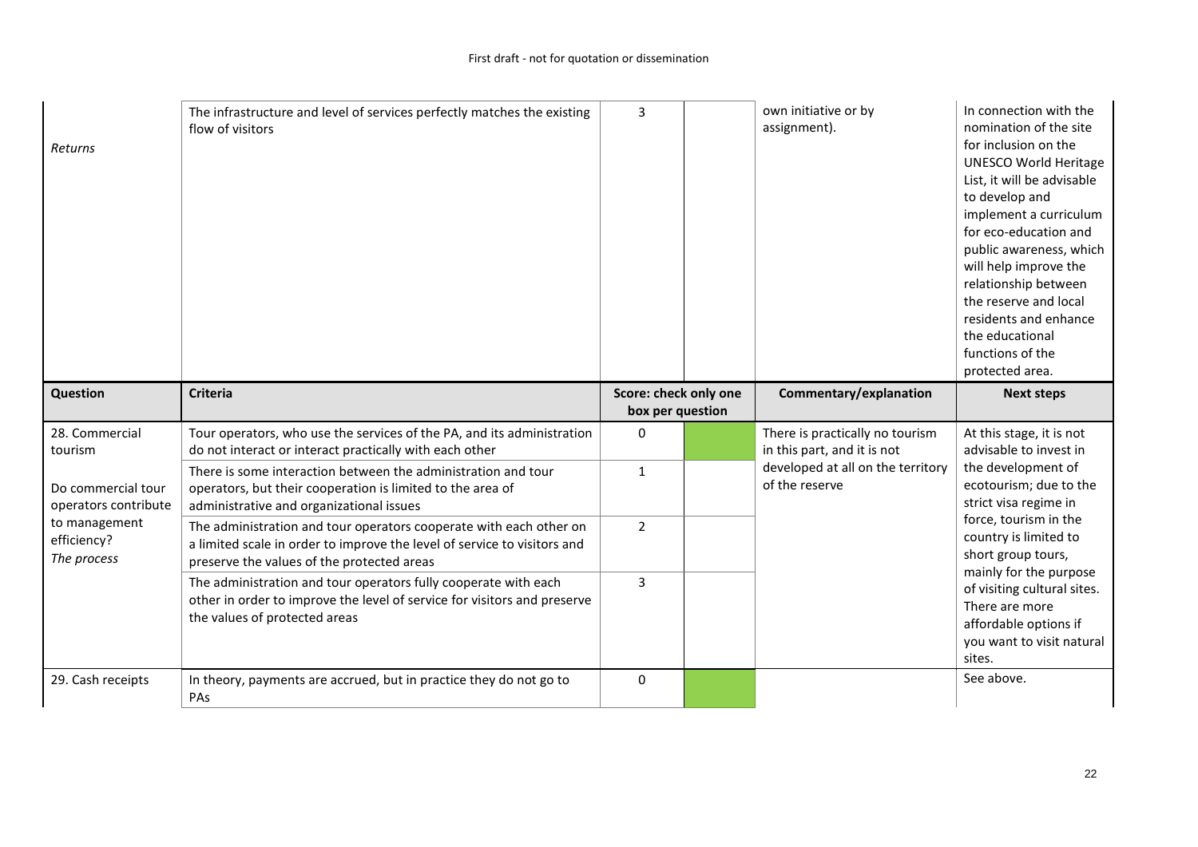| Returns                                     | The infrastructure and level of services perfectly matches the existing<br>flow of visitors                                                                                                  | 3                                         | own initiative or by<br>assignment).                           | In connection with the<br>nomination of the site<br>for inclusion on the<br><b>UNESCO World Heritage</b><br>List, it will be advisable<br>to develop and<br>implement a curriculum<br>for eco-education and<br>public awareness, which<br>will help improve the<br>relationship between<br>the reserve and local<br>residents and enhance<br>the educational<br>functions of the<br>protected area. |
|---------------------------------------------|----------------------------------------------------------------------------------------------------------------------------------------------------------------------------------------------|-------------------------------------------|----------------------------------------------------------------|-----------------------------------------------------------------------------------------------------------------------------------------------------------------------------------------------------------------------------------------------------------------------------------------------------------------------------------------------------------------------------------------------------|
| <b>Question</b>                             | <b>Criteria</b>                                                                                                                                                                              | Score: check only one<br>box per question | Commentary/explanation                                         | <b>Next steps</b>                                                                                                                                                                                                                                                                                                                                                                                   |
| 28. Commercial                              |                                                                                                                                                                                              |                                           |                                                                |                                                                                                                                                                                                                                                                                                                                                                                                     |
| tourism                                     | Tour operators, who use the services of the PA, and its administration<br>do not interact or interact practically with each other                                                            | $\Omega$                                  | There is practically no tourism<br>in this part, and it is not | At this stage, it is not<br>advisable to invest in                                                                                                                                                                                                                                                                                                                                                  |
| Do commercial tour<br>operators contribute  | There is some interaction between the administration and tour<br>operators, but their cooperation is limited to the area of<br>administrative and organizational issues                      | $\mathbf{1}$                              | developed at all on the territory<br>of the reserve            | the development of<br>ecotourism; due to the<br>strict visa regime in                                                                                                                                                                                                                                                                                                                               |
| to management<br>efficiency?<br>The process | The administration and tour operators cooperate with each other on<br>a limited scale in order to improve the level of service to visitors and<br>preserve the values of the protected areas | $\overline{2}$                            |                                                                | force, tourism in the<br>country is limited to<br>short group tours,                                                                                                                                                                                                                                                                                                                                |
|                                             | The administration and tour operators fully cooperate with each<br>other in order to improve the level of service for visitors and preserve<br>the values of protected areas                 | 3                                         |                                                                | mainly for the purpose<br>of visiting cultural sites.<br>There are more<br>affordable options if<br>you want to visit natural<br>sites.                                                                                                                                                                                                                                                             |